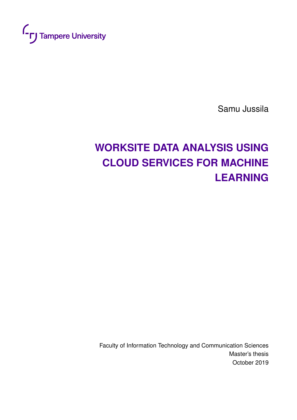

Samu Jussila

# **WORKSITE DATA ANALYSIS USING CLOUD SERVICES FOR MACHINE LEARNING**

Faculty of Information Technology and Communication Sciences Master's thesis October 2019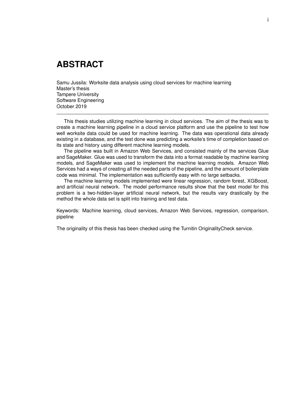# **ABSTRACT**

Samu Jussila: Worksite data analysis using cloud services for machine learning Master's thesis Tampere University Software Engineering October 2019

This thesis studies utilizing machine learning in cloud services. The aim of the thesis was to create a machine learning pipeline in a cloud service platform and use the pipeline to test how well worksite data could be used for machine learning. The data was operational data already existing in a database, and the test done was predicting a worksite's time of completion based on its state and history using different machine learning models.

The pipeline was built in Amazon Web Services, and consisted mainly of the services Glue and SageMaker. Glue was used to transform the data into a format readable by machine learning models, and SageMaker was used to implement the machine learning models. Amazon Web Services had a ways of creating all the needed parts of the pipeline, and the amount of boilerplate code was minimal. The implementation was sufficiently easy with no large setbacks.

The machine learning models implemented were linear regression, random forest, XGBoost, and artificial neural network. The model performance results show that the best model for this problem is a two-hidden-layer artificial neural network, but the results vary drastically by the method the whole data set is split into training and test data.

Keywords: Machine learning, cloud services, Amazon Web Services, regression, comparison, pipeline

The originality of this thesis has been checked using the Turnitin OriginalityCheck service.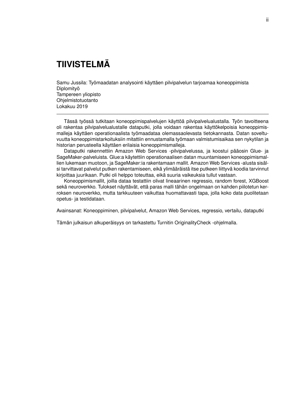# **TIIVISTELMÄ**

Samu Jussila: Työmaadatan analysointi käyttäen pilvipalvelun tarjoamaa koneoppimista Diplomityö Tampereen yliopisto Ohjelmistotuotanto Lokakuu 2019

Tässä työssä tutkitaan koneoppimispalvelujen käyttöä pilvipalvelualustalla. Työn tavoitteena oli rakentaa pilvipalvelualustalle dataputki, jolla voidaan rakentaa käyttökelpoisia koneoppimismalleja käyttäen operationaalista työmaadataa olemassaolevasta tietokannasta. Datan soveltuvuutta koneoppimistarkoituksiin mitattiin ennustamalla työmaan valmistumisaikaa sen nykytilan ja historian perusteella käyttäen erilaisia koneoppimismalleja.

Dataputki rakennettiin Amazon Web Services -pilvipalvelussa, ja koostui pääosin Glue- ja SageMaker-palveluista. Glue:a käytettiin operationaalisen datan muuntamiseen koneoppimismallien lukemaan muotoon, ja SageMaker:ia rakentamaan mallit. Amazon Web Services -alusta sisälsi tarvittavat palvelut putken rakentamiseen, eikä ylimääräistä itse putkeen liittyvä koodia tarvinnut kirjoittaa juurikaan. Putki oli helppo toteuttaa, eikä suuria vaikeuksia tullut vastaan.

Koneoppimismallit, joilla dataa testattiin olivat lineaarinen regressio, random forest, XGBoost sekä neuroverkko. Tulokset näyttävät, että paras malli tähän ongelmaan on kahden piilotetun kerroksen neuroverkko, mutta tarkkuuteen vaikuttaa huomattavasti tapa, jolla koko data puolitetaan opetus- ja testidataan.

Avainsanat: Koneoppiminen, pilvipalvelut, Amazon Web Services, regressio, vertailu, dataputki

Tämän julkaisun alkuperäisyys on tarkastettu Turnitin OriginalityCheck -ohjelmalla.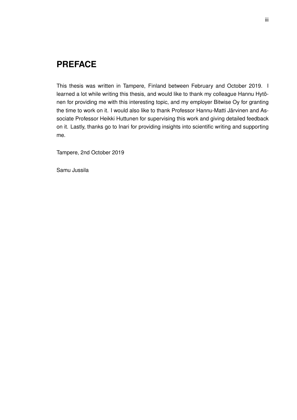# **PREFACE**

This thesis was written in Tampere, Finland between February and October 2019. I learned a lot while writing this thesis, and would like to thank my colleague Hannu Hytönen for providing me with this interesting topic, and my employer Bitwise Oy for granting the time to work on it. I would also like to thank Professor Hannu-Matti Järvinen and Associate Professor Heikki Huttunen for supervising this work and giving detailed feedback on it. Lastly, thanks go to Inari for providing insights into scientific writing and supporting me.

Tampere, 2nd October 2019

Samu Jussila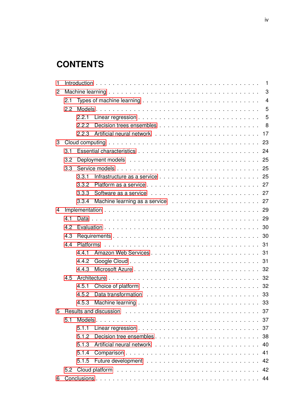# **CONTENTS**

| 1 |     |       |                                                                                                                                                                                                                                |    |  |  |  |  |  |  |  |
|---|-----|-------|--------------------------------------------------------------------------------------------------------------------------------------------------------------------------------------------------------------------------------|----|--|--|--|--|--|--|--|
| 2 |     |       |                                                                                                                                                                                                                                |    |  |  |  |  |  |  |  |
|   | 2.1 |       |                                                                                                                                                                                                                                |    |  |  |  |  |  |  |  |
|   | 2.2 |       |                                                                                                                                                                                                                                |    |  |  |  |  |  |  |  |
|   |     | 2.2.1 |                                                                                                                                                                                                                                |    |  |  |  |  |  |  |  |
|   |     | 2.2.2 |                                                                                                                                                                                                                                |    |  |  |  |  |  |  |  |
|   |     |       |                                                                                                                                                                                                                                |    |  |  |  |  |  |  |  |
| 3 |     |       |                                                                                                                                                                                                                                |    |  |  |  |  |  |  |  |
|   | 3.1 |       |                                                                                                                                                                                                                                |    |  |  |  |  |  |  |  |
|   | 3.2 |       |                                                                                                                                                                                                                                |    |  |  |  |  |  |  |  |
|   | 3.3 |       |                                                                                                                                                                                                                                |    |  |  |  |  |  |  |  |
|   |     | 3.3.1 |                                                                                                                                                                                                                                |    |  |  |  |  |  |  |  |
|   |     | 3.3.2 |                                                                                                                                                                                                                                |    |  |  |  |  |  |  |  |
|   |     | 3.3.3 |                                                                                                                                                                                                                                |    |  |  |  |  |  |  |  |
|   |     |       |                                                                                                                                                                                                                                |    |  |  |  |  |  |  |  |
| 4 |     |       |                                                                                                                                                                                                                                |    |  |  |  |  |  |  |  |
|   | 4.1 |       |                                                                                                                                                                                                                                |    |  |  |  |  |  |  |  |
|   | 4.2 |       |                                                                                                                                                                                                                                |    |  |  |  |  |  |  |  |
|   | 4.3 |       |                                                                                                                                                                                                                                |    |  |  |  |  |  |  |  |
|   | 4.4 |       |                                                                                                                                                                                                                                |    |  |  |  |  |  |  |  |
|   |     | 4.4.1 |                                                                                                                                                                                                                                |    |  |  |  |  |  |  |  |
|   |     | 4.4.2 |                                                                                                                                                                                                                                |    |  |  |  |  |  |  |  |
|   |     | 4.4.3 |                                                                                                                                                                                                                                |    |  |  |  |  |  |  |  |
|   | 4.5 |       |                                                                                                                                                                                                                                |    |  |  |  |  |  |  |  |
|   |     | 4.5.1 |                                                                                                                                                                                                                                |    |  |  |  |  |  |  |  |
|   |     | 4.5.2 |                                                                                                                                                                                                                                |    |  |  |  |  |  |  |  |
|   |     |       |                                                                                                                                                                                                                                | 33 |  |  |  |  |  |  |  |
| 5 |     |       | Results and discussion response to the contract of the contract of the contract of the contract of the contract of the contract of the contract of the contract of the contract of the contract of the contract of the contrac |    |  |  |  |  |  |  |  |
|   | 5.1 |       |                                                                                                                                                                                                                                |    |  |  |  |  |  |  |  |
|   |     | 5.1.1 |                                                                                                                                                                                                                                |    |  |  |  |  |  |  |  |
|   |     | 5.1.2 |                                                                                                                                                                                                                                |    |  |  |  |  |  |  |  |
|   |     | 5.1.3 |                                                                                                                                                                                                                                | 40 |  |  |  |  |  |  |  |
|   |     | 5.1.4 | Comparison                                                                                                                                                                                                                     | 41 |  |  |  |  |  |  |  |
|   |     |       |                                                                                                                                                                                                                                |    |  |  |  |  |  |  |  |
|   |     |       |                                                                                                                                                                                                                                |    |  |  |  |  |  |  |  |
| 6 |     |       |                                                                                                                                                                                                                                |    |  |  |  |  |  |  |  |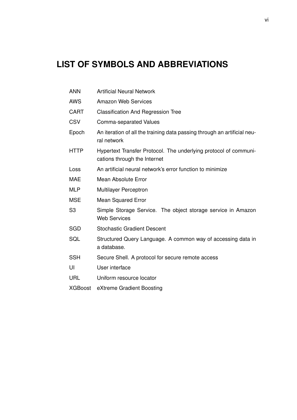# **LIST OF SYMBOLS AND ABBREVIATIONS**

- ANN Artificial Neural Network
- AWS Amazon Web Services
- CART Classification And Regression Tree
- CSV Comma-separated Values
- Epoch An iteration of all the training data passing through an artificial neural network
- HTTP Hypertext Transfer Protocol. The underlying protocol of communications through the Internet
- Loss An artificial neural network's error function to minimize
- MAE Mean Absolute Error
- MLP Multilayer Perceptron
- MSE Mean Squared Error
- S3 Simple Storage Service. The object storage service in Amazon Web Services
- SGD Stochastic Gradient Descent
- SQL Structured Query Language. A common way of accessing data in a database.
- SSH Secure Shell. A protocol for secure remote access
- UI User interface
- URL Uniform resource locator
- XGBoost eXtreme Gradient Boosting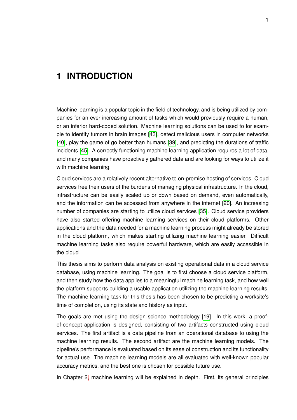# <span id="page-7-0"></span>**1 INTRODUCTION**

Machine learning is a popular topic in the field of technology, and is being utilized by companies for an ever increasing amount of tasks which would previously require a human, or an inferior hard-coded solution. Machine learning solutions can be used to for example to identify tumors in brain images [\[43\]](#page-53-0), detect malicious users in computer networks [\[40\]](#page-53-1), play the game of go better than humans [\[39\]](#page-53-2), and predicting the durations of traffic incidents [\[45\]](#page-54-0). A correctly functioning machine learning application requires a lot of data, and many companies have proactively gathered data and are looking for ways to utilize it with machine learning.

Cloud services are a relatively recent alternative to on-premise hosting of services. Cloud services free their users of the burdens of managing physical infrastructure. In the cloud, infrastructure can be easily scaled up or down based on demand, even automatically, and the information can be accessed from anywhere in the internet [\[20\]](#page-52-0). An increasing number of companies are starting to utilize cloud services [\[35\]](#page-53-3). Cloud service providers have also started offering machine learning services on their cloud platforms. Other applications and the data needed for a machine learning process might already be stored in the cloud platform, which makes starting utilizing machine learning easier. Difficult machine learning tasks also require powerful hardware, which are easily accessible in the cloud.

This thesis aims to perform data analysis on existing operational data in a cloud service database, using machine learning. The goal is to first choose a cloud service platform, and then study how the data applies to a meaningful machine learning task, and how well the platform supports building a usable application utilizing the machine learning results. The machine learning task for this thesis has been chosen to be predicting a worksite's time of completion, using its state and history as input.

The goals are met using the design science methodology [\[19\]](#page-52-1). In this work, a proofof-concept application is designed, consisting of two artifacts constructed using cloud services. The first artifact is a data pipeline from an operational database to using the machine learning results. The second artifact are the machine learning models. The pipeline's performance is evaluated based on its ease of construction and its functionality for actual use. The machine learning models are all evaluated with well-known popular accuracy metrics, and the best one is chosen for possible future use.

In Chapter [2,](#page-9-0) machine learning will be explained in depth. First, its general principles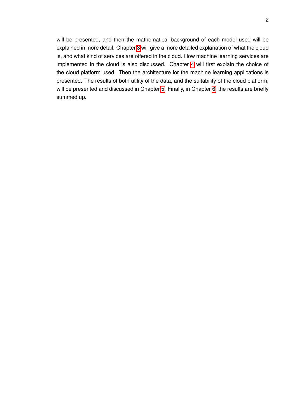will be presented, and then the mathematical background of each model used will be explained in more detail. Chapter [3](#page-29-0) will give a more detailed explanation of what the cloud is, and what kind of services are offered in the cloud. How machine learning services are implemented in the cloud is also discussed. Chapter [4](#page-35-0) will first explain the choice of the cloud platform used. Then the architecture for the machine learning applications is presented. The results of both utility of the data, and the suitability of the cloud platform, will be presented and discussed in Chapter [5.](#page-43-0) Finally, in Chapter [6,](#page-50-0) the results are briefly summed up.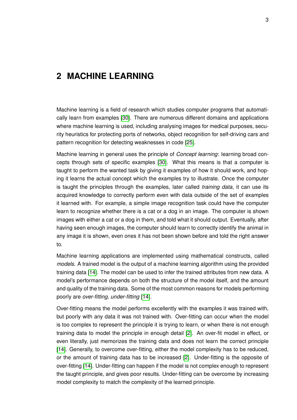# <span id="page-9-0"></span>**2 MACHINE LEARNING**

Machine learning is a field of research which studies computer programs that automatically learn from examples [\[30\]](#page-53-4). There are numerous different domains and applications where machine learning is used, including analysing images for medical purposes, security heuristics for protecting ports of networks, object recognition for self-driving cars and pattern recognition for detecting weaknesses in code [\[25\]](#page-52-2).

Machine learning in general uses the principle of *Concept learning*: learning broad concepts through sets of specific examples [\[30\]](#page-53-4). What this means is that a computer is taught to perform the wanted task by giving it examples of how it should work, and hoping it learns the actual concept which the examples try to illustrate. Once the computer is taught the principles through the examples, later called *training data*, it can use its acquired knowledge to correctly perform even with data outside of the set of examples it learned with. For example, a simple image recognition task could have the computer learn to recognize whether there is a cat or a dog in an image. The computer is shown images with either a cat or a dog in them, and told what it should output. Eventually, after having seen enough images, the computer should learn to correctly identify the animal in any image it is shown, even ones it has not been shown before and told the right answer to.

Machine learning applications are implemented using mathematical constructs, called *models*. A trained model is the output of a machine learning algorithm using the provided training data [\[14\]](#page-52-3). The model can be used to infer the trained attributes from new data. A model's performance depends on both the structure of the model itself, and the amount and quality of the training data. Some of the most common reasons for models performing poorly are *over-fitting*, *under-fitting* [\[14\]](#page-52-3).

Over-fitting means the model performs excellently with the examples it was trained with, but poorly with any data it was not trained with. Over-fitting can occur when the model is too complex to represent the principle it is trying to learn, or when there is not enough training data to model the principle in enough detail [\[2\]](#page-51-1). An over-fit model in effect, or even literally, just memorizes the training data and does not learn the correct principle [\[14\]](#page-52-3). Generally, to overcome over-fitting, either the model complexity has to be reduced, or the amount of training data has to be increased [\[2\]](#page-51-1). Under-fitting is the opposite of over-fitting [\[14\]](#page-52-3). Under-fitting can happen if the model is not complex enough to represent the taught principle, and gives poor results. Under-fitting can be overcome by increasing model complexity to match the complexity of the learned principle.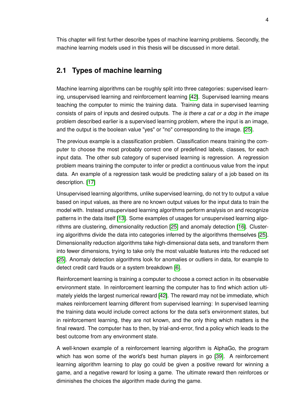<span id="page-10-0"></span>This chapter will first further describe types of machine learning problems. Secondly, the machine learning models used in this thesis will be discussed in more detail.

### **2.1 Types of machine learning**

Machine learning algorithms can be roughly split into three categories: supervised learning, unsupervised learning and reinforcement learning [\[42\]](#page-53-5). Supervised learning means teaching the computer to mimic the training data. Training data in supervised learning consists of pairs of inputs and desired outputs. The *is there a cat or a dog in the image* problem described earlier is a supervised learning problem, where the input is an image, and the output is the boolean value "yes" or "no" corresponding to the image. [\[25\]](#page-52-2).

The previous example is a classification problem. Classification means training the computer to choose the most probably correct one of predefined labels, classes, for each input data. The other sub category of supervised learning is regression. A regression problem means training the computer to infer or predict a continuous value from the input data. An example of a regression task would be predicting salary of a job based on its description. [\[17\]](#page-52-4)

Unsupervised learning algorithms, unlike supervised learning, do not try to output a value based on input values, as there are no known output values for the input data to train the model with. Instead unsupervised learning algorithms perform analysis on and recognize patterns in the data itself [\[13\]](#page-51-2). Some examples of usages for unsupervised learning algorithms are clustering, dimensionality reduction [\[25\]](#page-52-2) and anomaly detection [\[16\]](#page-52-5). Clustering algorithms divide the data into categories inferred by the algorithms themselves [\[25\]](#page-52-2). Dimensionality reduction algorithms take high-dimensional data sets, and transform them into fewer dimensions, trying to take only the most valuable features into the reduced set [\[25\]](#page-52-2). Anomaly detection algorithms look for anomalies or outliers in data, for example to detect credit card frauds or a system breakdown [\[6\]](#page-51-3).

Reinforcement learning is training a computer to choose a correct action in its observable environment state. In reinforcement learning the computer has to find which action ultimately yields the largest numerical reward [\[42\]](#page-53-5). The reward may not be immediate, which makes reinforcement learning different from supervised learning: In supervised learning the training data would include correct actions for the data set's environment states, but in reinforcement learning, they are not known, and the only thing which matters is the final reward. The computer has to then, by trial-and-error, find a policy which leads to the best outcome from any environment state.

<span id="page-10-1"></span>A well-known example of a reinforcement learning algorithm is AlphaGo, the program which has won some of the world's best human players in go [\[39\]](#page-53-2). A reinforcement learning algorithm learning to play go could be given a positive reward for winning a game, and a negative reward for losing a game. The ultimate reward then reinforces or diminishes the choices the algorithm made during the game.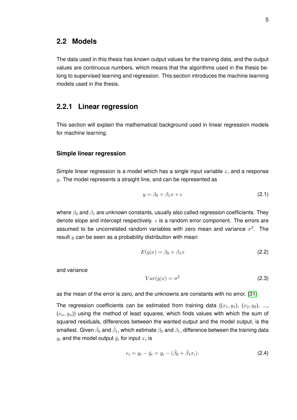#### **2.2 Models**

The data used in this thesis has known output values for the training data, and the output values are continuous numbers, which means that the algorithms used in the thesis belong to supervised learning and regression. This section introduces the machine learning models used in the thesis.

#### <span id="page-11-0"></span>**2.2.1 Linear regression**

This section will explain the mathematical background used in linear regression models for machine learning.

#### **Simple linear regression**

Simple linear regression is a model which has a single input variable  $x$ , and a response  $y$ . The model represents a straight line, and can be represented as

$$
y = \beta_0 + \beta_1 x + \epsilon \tag{2.1}
$$

where  $\beta_0$  and  $\beta_1$  are unknown constants, usually also called regression coefficients. They denote slope and intercept respectively.  $\epsilon$  is a random error component. The errors are assumed to be uncorrelated random variables with zero mean and variance  $\sigma^2$ . The result  $y$  can be seen as a probability distribution with mean

$$
E(y|x) = \beta_0 + \beta_1 x \tag{2.2}
$$

and variance

$$
Var(y|x) = \sigma^2 \tag{2.3}
$$

as the mean of the error is zero, and the unknowns are constants with no error. [\[31\]](#page-53-6)

The regression coefficients can be estimated from training data  $((x_1, y_1), (x_2, y_2), ...,$  $(x_n, y_n)$  using the method of least squares, which finds values with which the sum of squared residuals, differences between the wanted output and the model output, is the smallest. Given  $\hat\beta_0$  and  $\hat\beta_1$ , which estimate  $\beta_0$  and  $\beta_1$ , difference between the training data  $y_i$  and the model output  $\hat{y}_i$  for input  $x_i$  is

$$
e_i = y_i - \hat{y}_i = y_i - (\hat{\beta}_0 + \hat{\beta}_1 x_i).
$$
 (2.4)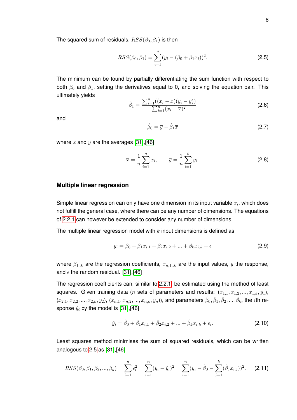The squared sum of residuals,  $RSS(\beta_0, \beta_1)$  is then

<span id="page-12-0"></span>
$$
RSS(\beta_0, \beta_1) = \sum_{i=1}^{n} (y_i - (\beta_0 + \beta_1 x_i))^2.
$$
 (2.5)

The minimum can be found by partially differentiating the sum function with respect to both  $\beta_0$  and  $\beta_1$ , setting the derivatives equal to 0, and solving the equation pair. This ultimately yields

$$
\hat{\beta}_1 = \frac{\sum_{i=1}^n ((x_i - \overline{x})(y_i - \overline{y}))}{\sum_{i=1}^n (x_i - \overline{x})^2}
$$
\n(2.6)

and

$$
\hat{\beta}_0 = \overline{y} - \hat{\beta}_1 \overline{x} \tag{2.7}
$$

where  $\bar{x}$  and  $\bar{y}$  are the averages [\[31\]](#page-53-6), [\[46\]](#page-54-1)

$$
\overline{x} = \frac{1}{n} \sum_{i=1}^{n} x_i, \qquad \overline{y} = \frac{1}{n} \sum_{i=1}^{n} y_i.
$$
 (2.8)

#### **Multiple linear regression**

Simple linear regression can only have one dimension in its input variable  $x_i$ , which does not fulfill the general case, where there can be any number of dimensions. The equations of [2.2.1](#page-11-0) can however be extended to consider any number of dimensions.

The multiple linear regression model with  $k$  input dimensions is defined as

$$
y_i = \beta_0 + \beta_1 x_{i,1} + \beta_2 x_{i,2} + \dots + \beta_k x_{i,k} + \epsilon
$$
 (2.9)

where  $\beta_{1..k}$  are the regression coefficients,  $x_{n,1..k}$  are the input values, y the response, and  $\epsilon$  the random residual. [\[31\]](#page-53-6),[\[46\]](#page-54-1)

The regression coefficients can, similar to [2.2.1,](#page-11-0) be estimated using the method of least squares. Given training data (*n* sets of parameters and results:  $(x_{1,1}, x_{1,2}, ..., x_{1,k}, y_1)$ ,  $(x_{2,1},x_{2,2},...,x_{2,k},y_2),$   $(x_{n,1},x_{n,2},...,x_{n,k},y_n)$ ), and parameters  $\hat{\beta}_0,\hat{\beta}_1,\hat{\beta}_2,...,\hat{\beta}_k,$  the  $i$ th response  $\hat{y}_i$  by the model is [\[31\]](#page-53-6),[\[46\]](#page-54-1)

<span id="page-12-1"></span>
$$
\hat{y}_i = \hat{\beta}_0 + \hat{\beta}_1 x_{i,1} + \hat{\beta}_2 x_{i,2} + \dots + \hat{\beta}_k x_{i,k} + \epsilon_i.
$$
 (2.10)

Least squares method minimises the sum of squared residuals, which can be written analogous to [2.5](#page-12-0) as [\[31\]](#page-53-6),[\[46\]](#page-54-1)

$$
RSS(\beta_0, \beta_1, \beta_2, ..., \beta_k) = \sum_{i=1}^n \epsilon_i^2 = \sum_{i=1}^n (y_i - \hat{y}_i)^2 = \sum_{i=1}^n (y_i - \hat{\beta}_0 - \sum_{j=1}^k (\hat{\beta}_j x_{i,j}))^2.
$$
 (2.11)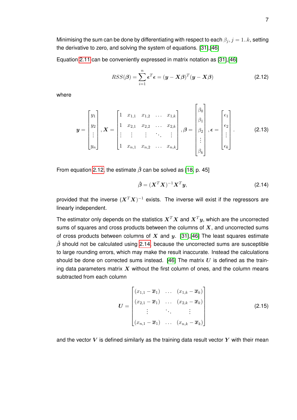Minimising the sum can be done by differentiating with respect to each  $\beta_i$ ,  $j = 1..k$ , setting the derivative to zero, and solving the system of equations. [\[31\]](#page-53-6),[\[46\]](#page-54-1)

Equation [2.11](#page-12-1) can be conveniently expressed in matrix notation as [\[31\]](#page-53-6),[\[46\]](#page-54-1)

<span id="page-13-0"></span>
$$
RSS(\boldsymbol{\beta}) = \sum_{i=1}^{n} \boldsymbol{\epsilon}^{T} \boldsymbol{\epsilon} = (\boldsymbol{y} - \boldsymbol{X}\boldsymbol{\beta})^{T} (\boldsymbol{y} - \boldsymbol{X}\boldsymbol{\beta})
$$
(2.12)

where

$$
\mathbf{y} = \begin{bmatrix} y_1 \\ y_2 \\ \vdots \\ y_n \end{bmatrix}, \mathbf{X} = \begin{bmatrix} 1 & x_{1,1} & x_{1,2} & \dots & x_{1,k} \\ 1 & x_{2,1} & x_{2,2} & \dots & x_{2,k} \\ \vdots & \vdots & \vdots & \ddots & \vdots \\ 1 & x_{n,1} & x_{n,2} & \dots & x_{n,k} \end{bmatrix}, \boldsymbol{\beta} = \begin{bmatrix} \beta_0 \\ \beta_1 \\ \beta_2 \\ \vdots \\ \beta_k \end{bmatrix}, \boldsymbol{\epsilon} = \begin{bmatrix} \epsilon_1 \\ \epsilon_2 \\ \vdots \\ \epsilon_k \end{bmatrix}.
$$
 (2.13)

From equation [2.12,](#page-13-0) the estimate  $\hat{\beta}$  can be solved as [\[18,](#page-52-6) p. 45]

<span id="page-13-1"></span>
$$
\hat{\boldsymbol{\beta}} = (\boldsymbol{X}^T \boldsymbol{X})^{-1} \boldsymbol{X}^T \boldsymbol{y},\tag{2.14}
$$

provided that the inverse  $(\boldsymbol{X}^T\boldsymbol{X})^{-1}$  exists. The inverse will exist if the regressors are linearly independent.

The estimator only depends on the statistics  $X^TX$  and  $X^Ty$ , which are the uncorrected sums of squares and cross products between the columns of  $X$ , and uncorrected sums of cross products between columns of X and  $y$ . [\[31\]](#page-53-6), [\[46\]](#page-54-1) The least squares estimate  $\hat{\beta}$  should not be calculated using [2.14,](#page-13-1) because the uncorrected sums are susceptible to large rounding errors, which may make the result inaccurate. Instead the calculations should be done on corrected sums instead. [\[46\]](#page-54-1) The matrix  $U$  is defined as the training data parameters matrix  $X$  without the first column of ones, and the column means subtracted from each column

$$
U = \begin{bmatrix} (x_{1,1} - \overline{x}_1) & \dots & (x_{1,k} - \overline{x}_k) \\ (x_{2,1} - \overline{x}_1) & \dots & (x_{2,k} - \overline{x}_k) \\ \vdots & \ddots & \vdots \\ (x_{n,1} - \overline{x}_1) & \dots & (x_{n,k} - \overline{x}_k) \end{bmatrix}
$$
(2.15)

and the vector  $V$  is defined similarly as the training data result vector  $Y$  with their mean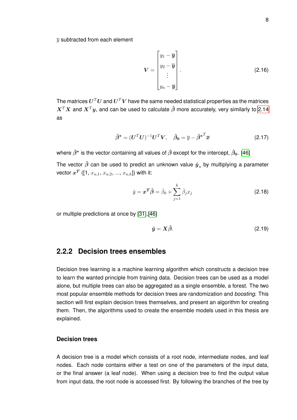$\overline{v}$  subtracted from each element

$$
\mathbf{V} = \begin{bmatrix} y_1 - \overline{\mathbf{y}} \\ y_2 - \overline{\mathbf{y}} \\ \vdots \\ y_n - \overline{\mathbf{y}} \end{bmatrix} .
$$
 (2.16)

The matrices  $\boldsymbol{U}^T\boldsymbol{U}$  and  $\boldsymbol{U}^T\boldsymbol{V}$  have the same needed statistical properties as the matrices  $X^TX$  and  $X^Ty$ , and can be used to calculate  $\hat{\beta}$  more accurately, very similarly to [2.14](#page-13-1) as

$$
\hat{\beta}^* = (\boldsymbol{U}^T \boldsymbol{U})^{-1} \boldsymbol{U}^T \boldsymbol{V}, \quad \hat{\beta}_0 = \overline{y} - \hat{\beta}^{*T} \overline{x}
$$
\n(2.17)

where  $\hat{\beta}^*$  is the vector containing all values of  $\hat{\beta}$  except for the intercept,  $\hat{\beta}_0$ . [\[46\]](#page-54-1)

The vector  $\hat{\beta}$  can be used to predict an unknown value  $\hat{y}_u$  by multiplying a parameter vector  $x^T$  ([1,  $x_{u,1},\,x_{u,2},\,...,\,x_{u,k}$ ]) with it:

$$
\hat{y} = \boldsymbol{x}^T \boldsymbol{\hat{\beta}} = \hat{\beta}_0 + \sum_{j=1}^k \hat{\beta}_j x_j \tag{2.18}
$$

or multiple predictions at once by [\[31\]](#page-53-6),[\[46\]](#page-54-1)

$$
\hat{y} = X\hat{\beta}.\tag{2.19}
$$

#### <span id="page-14-0"></span>**2.2.2 Decision trees ensembles**

Decision tree learning is a machine learning algorithm which constructs a decision tree to learn the wanted principle from training data. Decision trees can be used as a model alone, but multiple trees can also be aggregated as a single ensemble, a forest. The two most popular ensemble methods for decision trees are randomization and *boosting*. This section will first explain decision trees themselves, and present an algorithm for creating them. Then, the algorithms used to create the ensemble models used in this thesis are explained.

#### **Decision trees**

A decision tree is a model which consists of a root node, intermediate nodes, and leaf nodes. Each node contains either a test on one of the parameters of the input data, or the final answer (a leaf node). When using a decision tree to find the output value from input data, the root node is accessed first. By following the branches of the tree by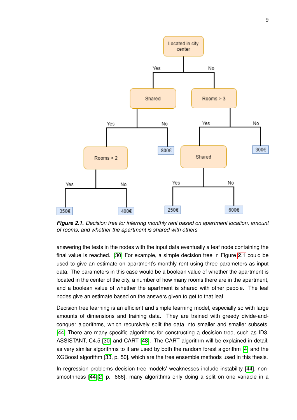<span id="page-15-0"></span>

*Figure 2.1. Decision tree for inferring monthly rent based on apartment location, amount of rooms, and whether the apartment is shared with others*

answering the tests in the nodes with the input data eventually a leaf node containing the final value is reached. [\[30\]](#page-53-4) For example, a simple decision tree in Figure [2.1](#page-15-0) could be used to give an estimate on apartment's monthly rent using three parameters as input data. The parameters in this case would be a boolean value of whether the apartment is located in the center of the city, a number of how many rooms there are in the apartment, and a boolean value of whether the apartment is shared with other people. The leaf nodes give an estimate based on the answers given to get to that leaf.

Decision tree learning is an efficient and simple learning model, especially so with large amounts of dimensions and training data. They are trained with greedy divide-andconquer algorithms, which recursively split the data into smaller and smaller subsets. [\[44\]](#page-53-7) There are many specific algorithms for constructing a decision tree, such as ID3, ASSISTANT, C4.5 [\[30\]](#page-53-4) and CART [\[48\]](#page-54-2). The CART algorithm will be explained in detail, as very similar algorithms to it are used by both the random forest algorithm [\[4\]](#page-51-4) and the XGBoost algorithm [\[33,](#page-53-8) p. 50], which are the tree ensemble methods used in this thesis.

In regression problems decision tree models' weaknesses include instability [\[44\]](#page-53-7), nonsmoothness [\[44\]](#page-53-7)[\[2,](#page-51-1) p. 666], many algorithms only doing a split on one variable in a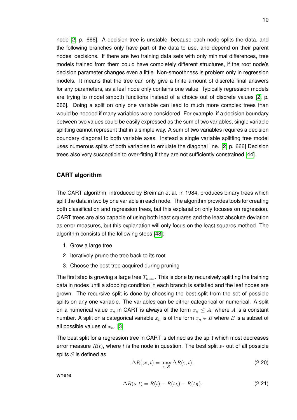node [\[2,](#page-51-1) p. 666]. A decision tree is unstable, because each node splits the data, and the following branches only have part of the data to use, and depend on their parent nodes' decisions. If there are two training data sets with only minimal differences, tree models trained from them could have completely different structures, if the root node's decision parameter changes even a little. Non-smoothness is problem only in regression models. It means that the tree can only give a finite amount of discrete final answers for any parameters, as a leaf node only contains one value. Typically regression models are trying to model smooth functions instead of a choice out of discrete values [\[2,](#page-51-1) p. 666]. Doing a split on only one variable can lead to much more complex trees than would be needed if many variables were considered. For example, if a decision boundary between two values could be easily expressed as the sum of two variables, single variable splitting cannot represent that in a simple way. A sum of two variables requires a decision boundary diagonal to both variable axes. Instead a single variable splitting tree model uses numerous splits of both variables to emulate the diagonal line. [\[2,](#page-51-1) p. 666] Decision trees also very susceptible to over-fitting if they are not sufficiently constrained [\[44\]](#page-53-7).

#### **CART algorithm**

The CART algorithm, introduced by Breiman et al. in 1984, produces binary trees which split the data in two by one variable in each node. The algorithm provides tools for creating both classification and regression trees, but this explanation only focuses on regression. CART trees are also capable of using both least squares and the least absolute deviation as error measures, but this explanation will only focus on the least squares method. The algorithm consists of the following steps [\[48\]](#page-54-2):

- 1. Grow a large tree
- 2. Iteratively prune the tree back to its root
- 3. Choose the best tree acquired during pruning

The first step is growing a large tree  $T_{max}$ . This is done by recursively splitting the training data in nodes until a stopping condition in each branch is satisfied and the leaf nodes are grown. The recursive split is done by choosing the best split from the set of possible splits on any one variable. The variables can be either categorical or numerical. A split on a numerical value  $x_n$  in CART is always of the form  $x_n \leq A$ , where A is a constant number. A split on a categorical variable  $x_n$  is of the form  $x_n \in B$  where B is a subset of all possible values of  $x_n$ . [\[3\]](#page-51-5)

The best split for a regression tree in CART is defined as the split which most decreases error measure  $R(t)$ , where t is the node in question. The best split  $s*$  out of all possible splits  $S$  is defined as

$$
\Delta R(\mathfrak{s}^*, t) = \max_{\mathfrak{s} \in \mathcal{S}} \Delta R(\mathfrak{s}, t),\tag{2.20}
$$

where

$$
\Delta R(\mathfrak{s},t) = R(t) - R(t_L) - R(t_R). \tag{2.21}
$$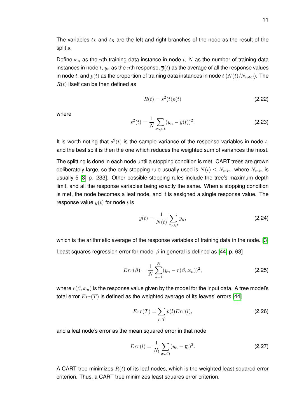Define  $x_n$  as the nth training data instance in node t, N as the number of training data instances in node  $t$ ,  $y_n$  as the  $n$ th response,  $\overline{y}(t)$  as the average of all the response values in node t, and  $p(t)$  as the proportion of training data instances in node t  $(N(t)/N_{total})$ . The  $R(t)$  itself can be then defined as

$$
R(t) = s2(t)p(t)
$$
\n(2.22)

where

$$
s^{2}(t) = \frac{1}{N} \sum_{x_{n} \in t} (y_{n} - \overline{y}(t))^{2}.
$$
 (2.23)

It is worth noting that  $s^2(t)$  is the sample variance of the response variables in node t, and the best split is then the one which reduces the weighted sum of variances the most.

The splitting is done in each node until a stopping condition is met. CART trees are grown deliberately large, so the only stopping rule usually used is  $N(t) \leq N_{min}$ , where  $N_{min}$  is usually 5 [\[3,](#page-51-5) p. 233]. Other possible stopping rules include the tree's maximum depth limit, and all the response variables being exactly the same. When a stopping condition is met, the node becomes a leaf node, and it is assigned a single response value. The response value  $y(t)$  for node t is

$$
y(t) = \frac{1}{N(t)} \sum_{\mathbf{x}_n \in t} y_n,
$$
\n(2.24)

which is the arithmetic average of the response variables of training data in the node. [\[3\]](#page-51-5) Least squares regression error for model  $\beta$  in general is defined as [\[44,](#page-53-7) p. 63]

$$
Err(\beta) = \frac{1}{N} \sum_{n=1}^{N} (y_n - r(\beta, x_n))^2,
$$
\n(2.25)

where  $r(\beta, x_n)$  is the response value given by the model for the input data. A tree model's total error  $Err(T)$  is defined as the weighted average of its leaves' errors [\[44\]](#page-53-7)

$$
Err(T) = \sum_{l \in \widetilde{T}} p(l)Err(l),\tag{2.26}
$$

and a leaf node's error as the mean squared error in that node

$$
Err(l) = \frac{1}{N_l} \sum_{\mathbf{x}_n \in l} (y_n - \overline{y}_l)^2.
$$
 (2.27)

A CART tree minimizes  $R(t)$  of its leaf nodes, which is the weighted least squared error criterion. Thus, a CART tree minimizes least squares error criterion.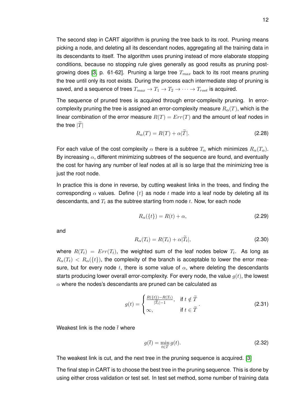The second step in CART algorithm is pruning the tree back to its root. Pruning means picking a node, and deleting all its descendant nodes, aggregating all the training data in its descendants to itself. The algorithm uses pruning instead of more elaborate stopping conditions, because no stopping rule gives generally as good results as pruning post-growing does [\[3,](#page-51-5) p. 61-62]. Pruning a large tree  $T_{max}$  back to its root means pruning the tree until only its root exists. During the process each intermediate step of pruning is saved, and a sequence of trees  $T_{max} \to T_1 \to T_2 \to \cdots \to T_{root}$  is acquired.

The sequence of pruned trees is acquired through error-complexity pruning. In errorcomplexity pruning the tree is assigned an error-complexity measure  $R_{\alpha}(T)$ , which is the linear combination of the error measure  $R(T) = Err(T)$  and the amount of leaf nodes in the tree  $|\tilde{T}|$ 

$$
R_{\alpha}(T) = R(T) + \alpha |\tilde{T}|.
$$
\n(2.28)

For each value of the cost complexity  $\alpha$  there is a subtree  $T_{\alpha}$  which minimizes  $R_{\alpha}(T_{\alpha})$ . By increasing  $\alpha$ , different minimizing subtrees of the sequence are found, and eventually the cost for having any number of leaf nodes at all is so large that the minimizing tree is just the root node.

In practice this is done in reverse, by cutting weakest links in the trees, and finding the corresponding  $\alpha$  values. Define  $\{t\}$  as node t made into a leaf node by deleting all its descendants, and  $T_t$  as the subtree starting from node  $t$ . Now, for each node

$$
R_{\alpha}(\{t\}) = R(t) + \alpha, \tag{2.29}
$$

and

$$
R_{\alpha}(T_t) = R(T_t) + \alpha |T_t|,
$$
\n(2.30)

where  $R(T_t)~=~Err(T_t)$ , the weighted sum of the leaf nodes below  $T_t$ . As long as  $R_{\alpha}(T_t) < R_{\alpha}(\{t\})$ , the complexity of the branch is acceptable to lower the error measure, but for every node t, there is some value of  $\alpha$ , where deleting the descendants starts producing lower overall error-complexity. For every node, the value  $q(t)$ , the lowest  $\alpha$  where the nodes's descendants are pruned can be calculated as

$$
g(t) = \begin{cases} \frac{R(\{t\}) - R(T_t)}{|\widetilde{T}_t| - 1}, & \text{if } t \notin \widetilde{T} \\ \infty, & \text{if } t \in \widetilde{T} \end{cases}
$$
 (2.31)

Weakest link is the node  $\bar{t}$  where

<span id="page-18-0"></span>
$$
g(\bar{t}) = \min_{t \in T} g(t). \tag{2.32}
$$

The weakest link is cut, and the next tree in the pruning sequence is acquired. [\[3\]](#page-51-5)

The final step in CART is to choose the best tree in the pruning sequence. This is done by using either cross validation or test set. In test set method, some number of training data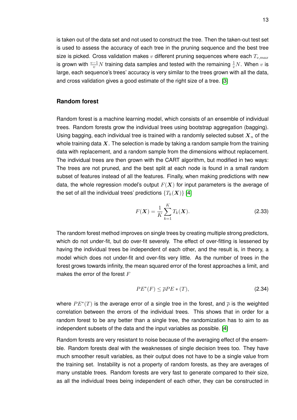is taken out of the data set and not used to construct the tree. Then the taken-out test set is used to assess the accuracy of each tree in the pruning sequence and the best tree size is picked. Cross validation makes  $v$  different pruning sequences where each  $T_{v,max}$ is grown with  $\frac{v-1}{v}N$  training data samples and tested with the remaining  $\frac{1}{v}N.$  When  $v$  is large, each sequence's trees' accuracy is very similar to the trees grown with all the data, and cross validation gives a good estimate of the right size of a tree. [\[3\]](#page-51-5)

#### **Random forest**

Random forest is a machine learning model, which consists of an ensemble of individual trees. Random forests grow the individual trees using bootstrap aggregation (bagging). Using bagging, each individual tree is trained with a randomly selected subset  $X_n$  of the whole training data  $X$ . The selection is made by taking a random sample from the training data with replacement, and a random sample from the dimensions without replacement. The individual trees are then grown with the CART algorithm, but modified in two ways: The trees are not pruned, and the best split at each node is found in a small random subset of features instead of all the features. Finally, when making predictions with new data, the whole regression model's output  $F(X)$  for input parameters is the average of the set of all the individual trees' predictions  $\{T_k(\bm{X})\}$  [\[4\]](#page-51-4)

$$
F(\mathbf{X}) = \frac{1}{K} \sum_{k=1}^{K} T_k(\mathbf{X}).
$$
\n(2.33)

The random forest method improves on single trees by creating multiple strong predictors, which do not under-fit, but do over-fit severely. The effect of over-fitting is lessened by having the individual trees be independent of each other, and the result is, in theory, a model which does not under-fit and over-fits very little. As the number of trees in the forest grows towards infinity, the mean squared error of the forest approaches a limit, and makes the error of the forest  $F$ 

<span id="page-19-0"></span>
$$
PE^*(F) \le \overline{\rho}PE*(T),\tag{2.34}
$$

where  $PE^*(T)$  is the average error of a single tree in the forest, and  $\overline{\rho}$  is the weighted correlation between the errors of the individual trees. This shows that in order for a random forest to be any better than a single tree, the randomization has to aim to as independent subsets of the data and the input variables as possible. [\[4\]](#page-51-4)

Random forests are very resistant to noise because of the averaging effect of the ensemble. Random forests deal with the weaknesses of single decision trees too. They have much smoother result variables, as their output does not have to be a single value from the training set. Instability is not a property of random forests, as they are averages of many unstable trees. Random forests are very fast to generate compared to their size, as all the individual trees being independent of each other, they can be constructed in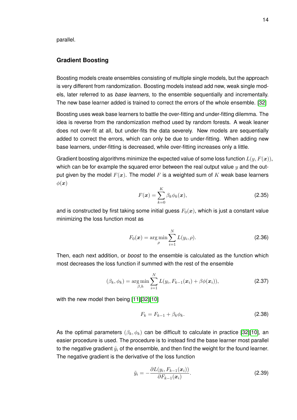parallel.

#### **Gradient Boosting**

Boosting models create ensembles consisting of multiple single models, but the approach is very different from randomization. Boosting models instead add new, weak single models, later referred to as *base learners*, to the ensemble sequentially and incrementally. The new base learner added is trained to correct the errors of the whole ensemble. [\[32\]](#page-53-9)

Boosting uses weak base learners to battle the over-fitting and under-fitting dilemma. The idea is reverse from the randomization method used by random forests. A weak leaner does not over-fit at all, but under-fits the data severely. New models are sequentially added to correct the errors, which can only be due to under-fitting. When adding new base learners, under-fitting is decreased, while over-fitting increases only a little.

Gradient boosting algorithms minimize the expected value of some loss function  $L(y, F(x))$ , which can be for example the squared error between the real output value  $y$  and the output given by the model  $F(x)$ . The model F is a weighted sum of K weak base learners  $\phi(\boldsymbol{x})$ 

$$
F(\boldsymbol{x}) = \sum_{k=0}^{K} \beta_k \phi_k(\boldsymbol{x}), \qquad (2.35)
$$

and is constructed by first taking some initial guess  $F_0(x)$ , which is just a constant value minimizing the loss function most as

$$
F_0(\boldsymbol{x}) = \arg\min_{\rho} \sum_{i=1}^{N} L(y_i, \rho).
$$
 (2.36)

Then, each next addition, or *boost* to the ensemble is calculated as the function which most decreases the loss function if summed with the rest of the ensemble

$$
(\beta_k, \phi_k) = \underset{\beta, h}{\arg \min} \sum_{i=1}^{N} L(y_i, F_{k-1}(\boldsymbol{x}_i) + \beta \phi(\boldsymbol{x}_i)),
$$
\n(2.37)

with the new model then being [\[11\]](#page-51-6)[\[32\]](#page-53-9)[\[10\]](#page-51-7)

<span id="page-20-1"></span><span id="page-20-0"></span>
$$
F_k = F_{k-1} + \beta_k \phi_k. \tag{2.38}
$$

As the optimal parameters  $(\beta_k, \phi_k)$  can be difficult to calculate in practice [\[32\]](#page-53-9)[\[10\]](#page-51-7), an easier procedure is used. The procedure is to instead find the base learner most parallel to the negative gradient  $\tilde{y}_i$  of the ensemble, and then find the weight for the found learner. The negative gradient is the derivative of the loss function

<span id="page-20-2"></span>
$$
\tilde{y}_i = -\frac{\partial L(y_i, F_{k-1}(\boldsymbol{x}_i))}{\partial F_{k-1}(\boldsymbol{x}_i)}.
$$
\n(2.39)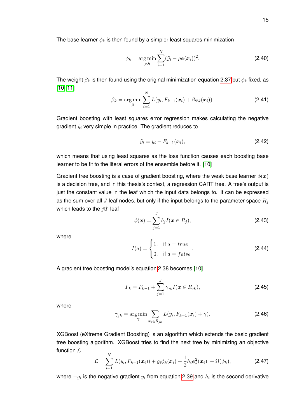The base learner  $\phi_k$  is then found by a simpler least squares minimization

$$
\phi_k = \arg \min_{\rho, h} \sum_{i=1}^{N} (\tilde{y}_i - \rho \phi(\boldsymbol{x}_i))^2.
$$
 (2.40)

The weight  $\beta_k$  is then found using the original minimization equation [2.37](#page-20-0) but  $\phi_k$  fixed, as [\[10\]](#page-51-7)[\[11\]](#page-51-6)

$$
\beta_k = \arg\min_{\beta} \sum_{i=1}^N L(y_i, F_{k-1}(\boldsymbol{x}_i) + \beta \phi_k(\boldsymbol{x}_i)).
$$
\n(2.41)

Gradient boosting with least squares error regression makes calculating the negative gradient  $\tilde{y}_i$  very simple in practice. The gradient reduces to

$$
\tilde{y}_i = y_i - F_{k-1}(\bm{x}_i),\tag{2.42}
$$

which means that using least squares as the loss function causes each boosting base learner to be fit to the literal errors of the ensemble before it. [\[10\]](#page-51-7)

Gradient tree boosting is a case of gradient boosting, where the weak base learner  $\phi(x)$ is a decision tree, and in this thesis's context, a regression CART tree. A tree's output is just the constant value in the leaf which the input data belongs to. It can be expressed as the sum over all J leaf nodes, but only if the input belongs to the parameter space  $R_i$ which leads to the  $i$ th leaf

$$
\phi(\bm{x}) = \sum_{j=1}^{J} b_j I(\bm{x} \in R_j),
$$
\n(2.43)

where

$$
I(a) = \begin{cases} 1, & \text{if } a = true \\ 0, & \text{if } a = false \end{cases}
$$
 (2.44)

A gradient tree boosting model's equation [2.38](#page-20-1) becomes [\[10\]](#page-51-7)

$$
F_k = F_{k-1} + \sum_{j=1}^{J} \gamma_{jk} I(\mathbf{x} \in R_{jk}),
$$
\n(2.45)

where

$$
\gamma_{jk} = \arg\min_{\gamma} \sum_{\mathbf{x}_i \in R_{jk}} L(y_i, F_{k-1}(\mathbf{x}_i) + \gamma).
$$
 (2.46)

XGBoost (eXtreme Gradient Boosting) is an algorithm which extends the basic gradient tree boosting algorithm. XGBoost tries to find the next tree by minimizing an objective function  $\mathcal{L}$ 

$$
\mathcal{L} = \sum_{i=1}^{N} [L(y_i, F_{k-1}(\boldsymbol{x}_i)) + g_i \phi_k(\boldsymbol{x}_i) + \frac{1}{2} h_i \phi_k^2(\boldsymbol{x}_i)] + \Omega(\phi_k),
$$
 (2.47)

where  $-g_i$  is the negative gradient  $\tilde{y}_i$  from equation [2.39](#page-20-2) and  $h_i$  is the second derivative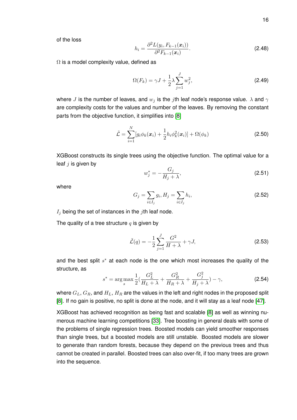of the loss

$$
h_i = \frac{\partial^2 L(y_i, F_{k-1}(x_i))}{\partial^2 F_{k-1}(x_i)}.
$$
\n(2.48)

 $\Omega$  is a model complexity value, defined as

$$
\Omega(F_k) = \gamma J + \frac{1}{2}\lambda \sum_{j=1}^{J} w_j^2,
$$
\n(2.49)

where J is the number of leaves, and  $w_j$  is the jth leaf node's response value.  $\lambda$  and  $\gamma$ are complexity costs for the values and number of the leaves. By removing the constant parts from the objective function, it simplifies into [\[8\]](#page-51-8)

$$
\tilde{\mathcal{L}} = \sum_{i=1}^{N} [g_i \phi_k(\boldsymbol{x}_i) + \frac{1}{2} h_i \phi_k^2(\boldsymbol{x}_i)] + \Omega(\phi_k)
$$
\n(2.50)

XGBoost constructs its single trees using the objective function. The optimal value for a leaf  $j$  is given by

$$
w_j^* = -\frac{G_j}{H_j + \lambda},\tag{2.51}
$$

where

$$
G_j = \sum_{i \in I_j} g_i, H_j = \sum_{i \in I_j} h_i,
$$
\n(2.52)

 $I_j$  being the set of instances in the jth leaf node.

The quality of a tree structure  $q$  is given by

$$
\tilde{\mathcal{L}}(q) = -\frac{1}{2} \sum_{j=1}^{J} \frac{G^2}{H + \lambda} + \gamma J,
$$
\n(2.53)

and the best split  $s^*$  at each node is the one which most increases the quality of the structure, as

$$
s^* = \arg\max_{s} \frac{1}{2} \left( \frac{G_L^2}{H_L + \lambda} + \frac{G_R^2}{H_R + \lambda} + \frac{G_j^2}{H_j + \lambda} \right) - \gamma,
$$
 (2.54)

where  $G_L, G_R$ , and  $H_L, H_R$  are the values in the left and right nodes in the proposed split [\[8\]](#page-51-8). If no gain is positive, no split is done at the node, and it will stay as a leaf node [\[47\]](#page-54-3).

<span id="page-22-0"></span>XGBoost has achieved recognition as being fast and scalable [\[8\]](#page-51-8) as well as winning numerous machine learning competitions [\[33\]](#page-53-8). Tree boosting in general deals with some of the problems of single regression trees. Boosted models can yield smoother responses than single trees, but a boosted models are still unstable. Boosted models are slower to generate than random forests, because they depend on the previous trees and thus cannot be created in parallel. Boosted trees can also over-fit, if too many trees are grown into the sequence.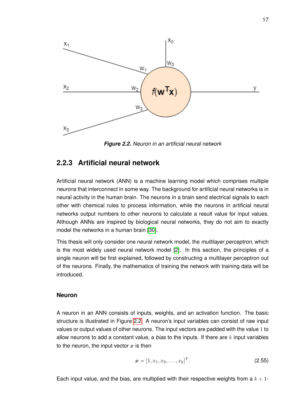<span id="page-23-0"></span>

*Figure 2.2. Neuron in an artificial neural network*

#### **2.2.3 Artificial neural network**

Artificial neural network (ANN) is a machine learning model which comprises multiple *neurons* that interconnect in some way. The background for artificial neural networks is in neural activity in the human brain. The neurons in a brain send electrical signals to each other with chemical rules to process information, while the neurons in artificial neural networks output numbers to other neurons to calculate a result value for input values. Although ANNs are inspired by biological neural networks, they do not aim to exactly model the networks in a human brain [\[30\]](#page-53-4).

This thesis will only consider one neural network model, the *multilayer perceptron*, which is the most widely used neural network model [\[2\]](#page-51-1). In this section, the principles of a single neuron will be first explained, followed by constructing a multilayer perceptron out of the neurons. Finally, the mathematics of training the network with training data will be introduced.

#### **Neuron**

A neuron in an ANN consists of inputs, weights, and an activation function. The basic structure is illustrated in Figure [2.2.](#page-23-0) A neuron's input variables can consist of raw input values or output values of other neurons. The input vectors are padded with the value 1 to allow neurons to add a constant value, a *bias* to the inputs. If there are  $k$  input variables to the neuron, the input vector  $x$  is then

$$
\boldsymbol{x} = [1, x_1, x_2, \dots, x_k]^T. \tag{2.55}
$$

Each input value, and the bias, are multiplied with their respective weights from a  $k + 1$ -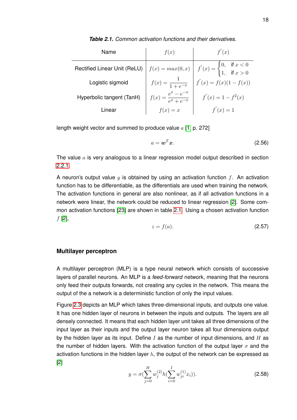<span id="page-24-0"></span>

| Name                         | f(x)                          | f'(x)                                                                                                                                                           |
|------------------------------|-------------------------------|-----------------------------------------------------------------------------------------------------------------------------------------------------------------|
| Rectified Linear Unit (ReLU) |                               | $f(x) = max(0, x)$ $f'(x) = \begin{cases} 0, & \text{if } x < 0 \\ 1, & \text{if } x > 0 \end{cases}$<br>$f(x) = \frac{1}{1 + e^{-x}}$ $f'(x) = f(x)(1 - f(x))$ |
| Logistic sigmoid             | $f(x) = \frac{1}{1 + e^{-x}}$ |                                                                                                                                                                 |
| Hyperbolic tangent (TanH)    | $f(x) =$                      | $f'(x) = 1 - f^2(x)$                                                                                                                                            |

Linear  $f(x) = x$   $f'(x) = 1$ 

*Table 2.1. Common activation functions and their derivatives.*

length weight vector and summed to produce value  $a$  [\[1,](#page-51-9) p. 272]

<span id="page-24-1"></span>
$$
a = \mathbf{w}^T \mathbf{x}.\tag{2.56}
$$

The value  $a$  is very analogous to a linear regression model output described in section [2.2.1.](#page-11-0)

A neuron's output value  $y$  is obtained by using an activation function f. An activation function has to be differentiable, as the differentials are used when training the network. The activation functions in general are also nonlinear, as if all activation functions in a network were linear, the network could be reduced to linear regression [\[2\]](#page-51-1). Some common activation functions [\[23\]](#page-52-7) are shown in table [2.1.](#page-24-0) Using a chosen activation function  $f$  [\[2\]](#page-51-1),

$$
z = f(a). \tag{2.57}
$$

#### <span id="page-24-2"></span>**Multilayer perceptron**

A multilayer perceptron (MLP) is a type neural network which consists of successive layers of parallel neurons. An MLP is a *feed-forward* network, meaning that the neurons only feed their outputs forwards, not creating any cycles in the network. This means the output of the a network is a deterministic function of only the input values.

Figure [2.3](#page-25-0) depicts an MLP which takes three-dimensional inputs, and outputs one value. It has one hidden layer of neurons in between the inputs and outputs. The layers are all densely connected. It means that each hidden layer unit takes all three dimensions of the input layer as their inputs and the output layer neuron takes all four dimensions output by the hidden layer as its input. Define  $I$  as the number of input dimensions, and  $H$  as the number of hidden layers. With the activation function of the output layer  $\sigma$  and the activation functions in the hidden layer  $h$ , the output of the network can be expressed as [\[2\]](#page-51-1)

$$
y = \sigma \left(\sum_{j=0}^{H} w_j^{(2)} h\left(\sum_{i=0}^{I} w_{ji}^{(1)} x_i\right)\right).
$$
 (2.58)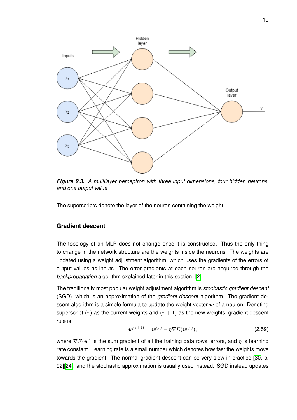<span id="page-25-0"></span>

*Figure 2.3. A multilayer perceptron with three input dimensions, four hidden neurons, and one output value*

The superscripts denote the layer of the neuron containing the weight.

#### **Gradient descent**

The topology of an MLP does not change once it is constructed. Thus the only thing to change in the network structure are the weights inside the neurons. The weights are updated using a weight adjustment algorithm, which uses the gradients of the errors of output values as inputs. The error gradients at each neuron are acquired through the *backpropagation* algorithm explained later in this section. [\[2\]](#page-51-1)

The traditionally most popular weight adjustment algorithm is *stochastic gradient descent* (SGD), which is an approximation of the *gradient descent* algorithm. The gradient descent algorithm is a simple formula to update the weight vector  $w$  of a neuron. Denoting superscript  $(\tau)$  as the current weights and  $(\tau + 1)$  as the new weights, gradient descent rule is

$$
\boldsymbol{w}^{(\tau+1)} = \boldsymbol{w}^{(\tau)} - \eta \nabla E(\boldsymbol{w}^{(\tau)}),
$$
\n(2.59)

where  $\nabla E(w)$  is the sum gradient of all the training data rows' errors, and  $\eta$  is learning rate constant. Learning rate is a small number which denotes how fast the weights move towards the gradient. The normal gradient descent can be very slow in practice [\[30,](#page-53-4) p. 92][\[24\]](#page-52-8), and the stochastic approximation is usually used instead. SGD instead updates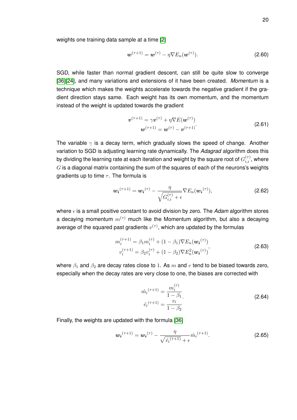weights one training data sample at a time [\[2\]](#page-51-1)

$$
\boldsymbol{w}^{(\tau+1)} = \boldsymbol{w}^{(\tau)} - \eta \nabla E_n(\boldsymbol{w}^{(\tau)}).
$$
 (2.60)

SGD, while faster than normal gradient descent, can still be quite slow to converge [\[36\]](#page-53-10)[\[24\]](#page-52-8), and many variations and extensions of it have been created. *Momentum* is a technique which makes the weights accelerate towards the negative gradient if the gradient direction stays same. Each weight has its own momentum, and the momentum instead of the weight is updated towards the gradient

$$
\boldsymbol{v}^{(\tau+1)} = \gamma \boldsymbol{v}^{(\tau)} + \eta \nabla E(\boldsymbol{w}^{(\tau)})
$$
  

$$
\boldsymbol{w}^{(\tau+1)} = \boldsymbol{w}^{(\tau)} - \boldsymbol{v}^{(\tau+1)}.
$$
 (2.61)

The variable  $\gamma$  is a decay term, which gradually slows the speed of change. Another variation to SGD is adjusting learning rate dynamically. The *Adagrad* algorithm does this by dividing the learning rate at each iteration and weight by the square root of  $G_{i,i}^{(\tau)}$  , where  $G$  is a diagonal matrix containing the sum of the squares of each of the neurons's weights gradients up to time  $\tau$ . The formula is

$$
\boldsymbol{w_i}^{(\tau+1)} = \boldsymbol{w_i}^{(\tau)} - \frac{\eta}{\sqrt{G_{i,i}^{(\tau)}} + \epsilon} \nabla E_n(\boldsymbol{w_i}^{(\tau)}),
$$
\n(2.62)

where  $\epsilon$  is a small positive constant to avoid division by zero. The *Adam* algorithm stores a decaying momentum  $m^{(\tau)}$  much like the Momentum algorithm, but also a decaying average of the squared past gradients  $v^{(\tau)},$  which are updated by the formulas

$$
m_i^{(\tau+1)} = \beta_1 m_i^{(\tau)} + (1 - \beta_1) \nabla E_n(\boldsymbol{w_i}^{(\tau)})
$$
  

$$
v_i^{(\tau+1)} = \beta_2 v_i^{(\tau)} + (1 - \beta_2) \nabla E_n^2(\boldsymbol{w_i}^{(\tau)})
$$
 (2.63)

where  $\beta_1$  and  $\beta_2$  are decay rates close to 1. As m and v tend to be biased towards zero, especially when the decay rates are very close to one, the biases are corrected with

$$
\hat{m_i}^{(\tau+1)} = \frac{m_i^{(\tau)}}{1 - \beta_1}.
$$
\n
$$
\hat{v_i}^{(\tau+1)} = \frac{v_i}{1 - \beta_2}.
$$
\n(2.64)

Finally, the weights are updated with the formula [\[36\]](#page-53-10)

$$
\boldsymbol{w_i}^{(\tau+1)} = \boldsymbol{w_i}^{(\tau)} - \frac{\eta}{\sqrt{\hat{v_i}^{(\tau+1)}} + \epsilon} \hat{m_i}^{(\tau+1)}.
$$
 (2.65)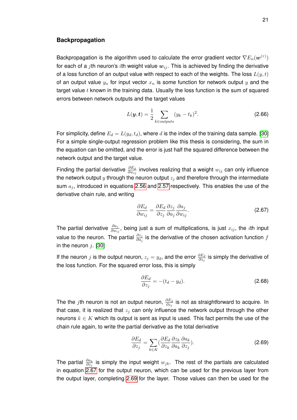#### **Backpropagation**

Backpropagation is the algorithm used to calculate the error gradient vector  $\nabla E_n(\boldsymbol{w}^{(\tau)})$ for each of a jth neuron's ith weight value  $w_{ij}$ . This is achieved by finding the derivative of a loss function of an output value with respect to each of the weights. The loss  $L(y, t)$ of an output value  $y_n$  for input vector  $x_n$  is some function for network output y and the target value  $t$  known in the training data. Usually the loss function is the sum of squared errors between network outputs and the target values

$$
L(\boldsymbol{y},t) = \frac{1}{2} \sum_{k \in outputs} (y_k - t_k)^2.
$$
 (2.66)

For simplicity, define  $E_d = L(y_d, t_d)$ , where d is the index of the training data sample. [\[30\]](#page-53-4) For a simple single-output regression problem like this thesis is considering, the sum in the equation can be omitted, and the error is just half the squared difference between the network output and the target value.

Finding the partial derivative  $\frac{\partial E_d}{\partial w_{ij}}$  involves realizing that a weight  $w_{ij}$  can only influence the network output  $y$  through the neuron output  $z_i$  and therefore through the intermediate sum  $a_i$ , introduced in equations [2.56](#page-24-1) and [2.57](#page-24-2) respectively. This enables the use of the derivative chain rule, and writing

<span id="page-27-0"></span>
$$
\frac{\partial E_d}{\partial w_{ij}} = \frac{\partial E_d}{\partial z_j} \frac{\partial z_j}{\partial a_j} \frac{\partial a_j}{\partial w_{ij}}.
$$
\n(2.67)

The partial derivative  $\frac{\partial a_j}{\partial w_{ij}},$  being just a sum of multiplications, is just  $x_{ij},$  the  $i$ th input value to the neuron. The partial  $\frac{\partial z_j}{\partial a_j}$  is the derivative of the chosen activation function  $f$ in the neuron  $i$ . [\[30\]](#page-53-4)

If the neuron  $j$  is the output neuron,  $z_j=y_d$ , and the error  $\frac{\partial E_d}{\partial z_j}$  is simply the derivative of the loss function. For the squared error loss, this is simply

$$
\frac{\partial E_d}{\partial z_j} = -(t_d - y_d). \tag{2.68}
$$

The the  $j$ th neuron is not an output neuron,  $\frac{\partial E_d}{\partial z_j}$  is not as straightforward to acquire. In that case, it is realized that  $z_i$  can only influence the network output through the other neurons  $k \in K$  which its output is sent as input is used. This fact permits the use of the chain rule again, to write the partial derivative as the total derivative

<span id="page-27-1"></span>
$$
\frac{\partial E_d}{\partial z_j} = \sum_{k \in K} \left( \frac{\partial E_d}{\partial z_k} \frac{\partial z_k}{\partial a_k} \frac{\partial a_k}{\partial z_j} \right).
$$
 (2.69)

The partial  $\frac{\partial a_k}{\partial z_j}$  is simply the input weight  $w_{jk}$ . The rest of the partials are calculated in equation [2.67](#page-27-0) for the output neuron, which can be used for the previous layer from the output layer, completing [2.69](#page-27-1) for the layer. Those values can then be used for the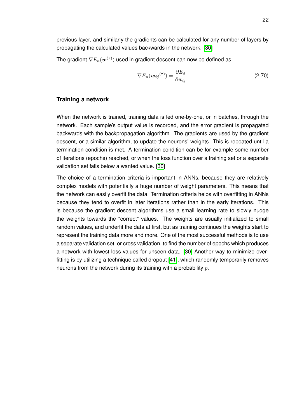previous layer, and similarly the gradients can be calculated for any number of layers by propagating the calculated values backwards in the network. [\[30\]](#page-53-4)

The gradient  $\nabla E_n(\boldsymbol{w}^{(\tau)})$  used in gradient descent can now be defined as

<span id="page-28-0"></span>
$$
\nabla E_n(\boldsymbol{w}_{ij}^{(\tau)}) = \frac{\partial E_d}{\partial w_{ij}}.
$$
\n(2.70)

#### **Training a network**

When the network is trained, training data is fed one-by-one, or in batches, through the network. Each sample's output value is recorded, and the error gradient is propagated backwards with the backpropagation algorithm. The gradients are used by the gradient descent, or a similar algorithm, to update the neurons' weights. This is repeated until a termination condition is met. A termination condition can be for example some number of iterations (epochs) reached, or when the loss function over a training set or a separate validation set falls below a wanted value. [\[30\]](#page-53-4)

The choice of a termination criteria is important in ANNs, because they are relatively complex models with potentially a huge number of weight parameters. This means that the network can easily overfit the data. Termination criteria helps with overfitting in ANNs because they tend to overfit in later iterations rather than in the early iterations. This is because the gradient descent algorithms use a small learning rate to slowly nudge the weights towards the "correct" values. The weights are usually initialized to small random values, and underfit the data at first, but as training continues the weights start to represent the training data more and more. One of the most successful methods is to use a separate validation set, or cross validation, to find the number of epochs which produces a network with lowest loss values for unseen data. [\[30\]](#page-53-4) Another way to minimize overfitting is by utilizing a technique called dropout [\[41\]](#page-53-11), which randomly temporarily removes neurons from the network during its training with a probability  $p$ .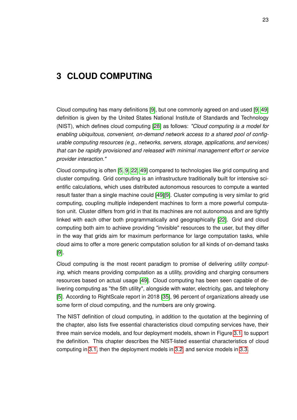# <span id="page-29-0"></span>**3 CLOUD COMPUTING**

Cloud computing has many definitions [\[9\]](#page-51-10), but one commonly agreed on and used [\[9,](#page-51-10) [49\]](#page-54-4) definition is given by the United States National Institute of Standards and Technology (NIST), which defines cloud computing [\[28\]](#page-52-9) as follows: *"Cloud computing is a model for enabling ubiquitous, convenient, on-demand network access to a shared pool of configurable computing resources (e.g., networks, servers, storage, applications, and services) that can be rapidly provisioned and released with minimal management effort or service provider interaction."*

Cloud computing is often [\[5,](#page-51-11) [9,](#page-51-10) [22,](#page-52-10) [49\]](#page-54-4) compared to technologies like grid computing and cluster computing. Grid computing is an infrastructure traditionally built for intensive scientific calculations, which uses distributed autonomous resources to compute a wanted result faster than a single machine could [\[49\]](#page-54-4)[\[9\]](#page-51-10). Cluster computing is very similar to grid computing, coupling multiple independent machines to form a more powerful computation unit. Cluster differs from grid in that its machines are not autonomous and are tightly linked with each other both programmatically and geographically [\[22\]](#page-52-10). Grid and cloud computing both aim to achieve providing "invisible" resources to the user, but they differ in the way that grids aim for maximum performance for large computation tasks, while cloud aims to offer a more generic computation solution for all kinds of on-demand tasks [\[9\]](#page-51-10).

Cloud computing is the most recent paradigm to promise of delivering *utility computing*, which means providing computation as a utility, providing and charging consumers resources based on actual usage [\[49\]](#page-54-4). Cloud computing has been seen capable of delivering computing as "the 5th utility", alongside with water, electricity, gas, and telephony [\[5\]](#page-51-11). According to RightScale report in 2018 [\[35\]](#page-53-3), 96 percent of organizations already use some form of cloud computing, and the numbers are only growing.

<span id="page-29-1"></span>The NIST definition of cloud computing, in addition to the quotation at the beginning of the chapter, also lists five essential characteristics cloud computing services have, their three main service models, and four deployment models, shown in Figure [3.1,](#page-30-1) to support the definition. This chapter describes the NIST-listed essential characteristics of cloud computing in [3.1,](#page-29-1) then the deployment models in [3.2,](#page-30-0) and service models in [3.3.](#page-31-0)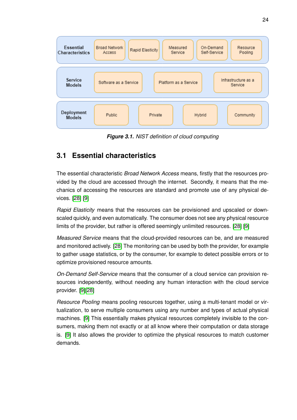<span id="page-30-1"></span>

*Figure 3.1. NIST definition of cloud computing*

# **3.1 Essential characteristics**

The essential characteristic *Broad Network Access* means, firstly that the resources provided by the cloud are accessed through the internet. Secondly, it means that the mechanics of accessing the resources are standard and promote use of any physical devices. [\[28\]](#page-52-9) [\[9\]](#page-51-10)

*Rapid Elasticity* means that the resources can be provisioned and upscaled or downscaled quickly, and even automatically. The consumer does not see any physical resource limits of the provider, but rather is offered seemingly unlimited resources. [\[28\]](#page-52-9) [\[9\]](#page-51-10)

*Measured Service* means that the cloud-provided resources can be, and are measured and monitored actively. [\[28\]](#page-52-9) The monitoring can be used by both the provider, for example to gather usage statistics, or by the consumer, for example to detect possible errors or to optimize provisioned resource amounts.

*On-Demand Self-Service* means that the consumer of a cloud service can provision resources independently, without needing any human interaction with the cloud service provider. [\[9\]](#page-51-10)[\[28\]](#page-52-9)

<span id="page-30-0"></span>*Resource Pooling* means pooling resources together, using a multi-tenant model or virtualization, to serve multiple consumers using any number and types of actual physical machines. [\[9\]](#page-51-10) This essentially makes physical resources completely invisible to the consumers, making them not exactly or at all know where their computation or data storage is. [\[9\]](#page-51-10) It also allows the provider to optimize the physical resources to match customer demands.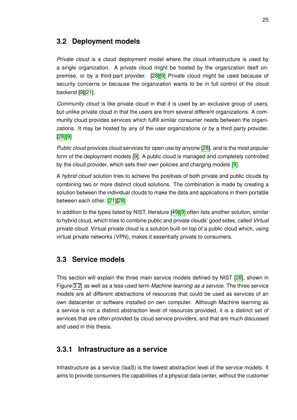### **3.2 Deployment models**

*Private cloud* is a cloud deployment model where the cloud infrastructure is used by a single organization. A private cloud might be hosted by the organization itself onpremise, or by a third-part provider. [\[28\]](#page-52-9)[\[9\]](#page-51-10) Private cloud might be used because of security concerns or because the organization wants to be in full control of the cloud backend [\[9\]](#page-51-10)[\[21\]](#page-52-11).

*Community cloud* is like private cloud in that it is used by an exclusive group of users, but unlike private cloud in that the users are from several different organizations. A community cloud provides services which fulfill similar consumer needs between the organizations. It may be hosted by any of the user organizations or by a third party provider. [\[28\]](#page-52-9)[\[9\]](#page-51-10)

*Public cloud* provices cloud services for open use by anyone [\[28\]](#page-52-9), and is the most popular form of the deployment models [\[9\]](#page-51-10). A public cloud is managed and completely controlled by the cloud provider, which sets their own policies and charging models [\[9\]](#page-51-10).

A *hybrid cloud* solution tries to achieve the positives of both private and public clouds by combining two or more distinct cloud solutions. The combination is made by creating a solution between the individual clouds to make the data and applications in them portable between each other. [\[21\]](#page-52-11)[\[28\]](#page-52-9)

In addition to the types listed by NIST, literature [\[49\]](#page-54-4)[\[9\]](#page-51-10) often lists another solution, similar to hybrid cloud, which tries to combine public and private clouds' good sides, called *Virtual private cloud*. Virtual private cloud is a solution built on top of a public cloud which, using virtual private networks (VPN), makes it essentially private to consumers.

## <span id="page-31-0"></span>**3.3 Service models**

This section will explain the three main service models defined by NIST [\[28\]](#page-52-9), shown in Figure [3.2,](#page-32-1) as well as a less-used term *Machine learning as a service*. The three service models are all different abstractions of resources that could be used as services of an own datacenter or software installed on own computer. Although Machine learning as a service is not a distinct abstraction level of resources provided, it is a distinct set of services that are often provided by cloud service providers, and that are much discussed and used in this thesis.

### <span id="page-31-1"></span>**3.3.1 Infrastructure as a service**

Infrastructure as a service (IaaS) is the lowest abstraction level of the service models. It aims to provide consumers the capabilities of a physical data center, without the customer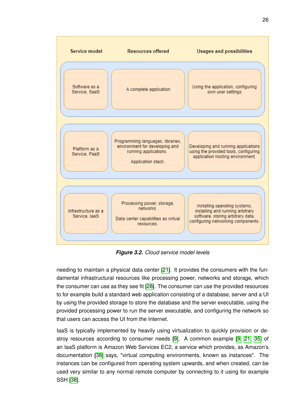<span id="page-32-1"></span>

*Figure 3.2. Cloud service model levels*

needing to maintain a physical data center [\[21\]](#page-52-11). It provides the consumers with the fundamental infrastructural resources like processing power, networks and storage, which the consumer can use as they see fit [\[28\]](#page-52-9). The consumer can use the provided resources to for example build a standard web application consisting of a database, server and a UI by using the provided storage to store the database and the server executable, using the provided processing power to run the server executable, and configuring the network so that users can access the UI from the Internet.

<span id="page-32-0"></span>IaaS is typically implemented by heavily using virtualization to quickly provision or destroy resources according to consumer needs [\[9\]](#page-51-10). A common example [\[9,](#page-51-10) [21,](#page-52-11) [35\]](#page-53-3) of an IaaS platform is Amazon Web Services EC2, a service which provides, as Amazon's documentation [\[38\]](#page-53-12) says, "virtual computing environments, known as instances". The instances can be configured from operating system upwards, and when created, can be used very similar to any normal remote computer by connecting to it using for example SSH [\[38\]](#page-53-12).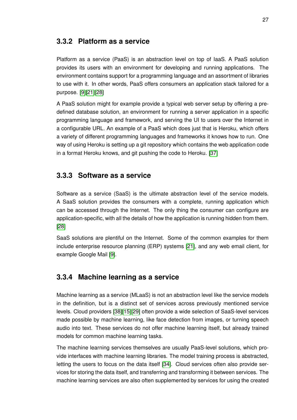### **3.3.2 Platform as a service**

Platform as a service (PaaS) is an abstraction level on top of IaaS. A PaaS solution provides its users with an environment for developing and running applications. The environment contains support for a programming language and an assortment of libraries to use with it. In other words, PaaS offers consumers an application stack tailored for a purpose. [\[9\]](#page-51-10)[\[21\]](#page-52-11)[\[28\]](#page-52-9)

A PaaS solution might for example provide a typical web server setup by offering a predefined database solution, an environment for running a server application in a specific programming language and framework, and serving the UI to users over the Internet in a configurable URL. An example of a PaaS which does just that is Heroku, which offers a variety of different programming languages and frameworks it knows how to run. One way of using Heroku is setting up a git repository which contains the web application code in a format Heroku knows, and git pushing the code to Heroku. [\[37\]](#page-53-13)

### <span id="page-33-0"></span>**3.3.3 Software as a service**

Software as a service (SaaS) is the ultimate abstraction level of the service models. A SaaS solution provides the consumers with a complete, running application which can be accessed through the Internet. The only thing the consumer can configure are application-specific, with all the details of how the application is running hidden from them. [\[28\]](#page-52-9)

SaaS solutions are plentiful on the Internet. Some of the common examples for them include enterprise resource planning (ERP) systems [\[21\]](#page-52-11), and any web email client, for example Google Mail [\[9\]](#page-51-10).

### <span id="page-33-1"></span>**3.3.4 Machine learning as a service**

Machine learning as a service (MLaaS) is not an abstraction level like the service models in the definition, but is a distinct set of services across previously mentioned service levels. Cloud providers [\[38\]](#page-53-12)[\[15\]](#page-52-12)[\[29\]](#page-52-13) often provide a wide selection of SaaS-level services made possible by machine learning, like face detection from images, or turning speech audio into text. These services do not offer machine learning itself, but already trained models for common machine learning tasks.

The machine learning services themselves are usually PaaS-level solutions, which provide interfaces with machine learning libraries. The model training process is abstracted, letting the users to focus on the data itself [\[34\]](#page-53-14). Cloud services often also provide services for storing the data itself, and transferring and transforming it between services. The machine learning services are also often supplemented by services for using the created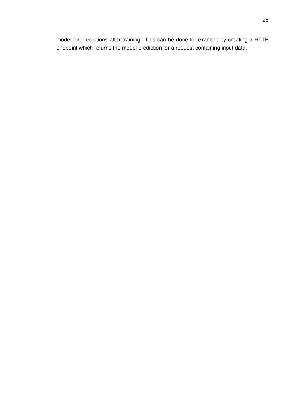model for predictions after training. This can be done for example by creating a HTTP endpoint which returns the model prediction for a request containing input data.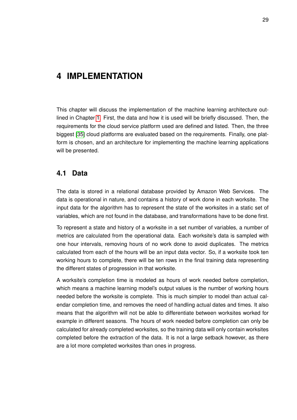# <span id="page-35-0"></span>**4 IMPLEMENTATION**

This chapter will discuss the implementation of the machine learning architecture outlined in Chapter [1.](#page-7-0) First, the data and how it is used will be briefly discussed. Then, the requirements for the cloud service platform used are defined and listed. Then, the three biggest [\[35\]](#page-53-3) cloud platforms are evaluated based on the requirements. Finally, one platform is chosen, and an architecture for implementing the machine learning applications will be presented.

### <span id="page-35-1"></span>**4.1 Data**

The data is stored in a relational database provided by Amazon Web Services. The data is operational in nature, and contains a history of work done in each worksite. The input data for the algorithm has to represent the state of the worksites in a static set of variables, which are not found in the database, and transformations have to be done first.

To represent a state and history of a worksite in a set number of variables, a number of metrics are calculated from the operational data. Each worksite's data is sampled with one hour intervals, removing hours of no work done to avoid duplicates. The metrics calculated from each of the hours will be an input data vector. So, if a worksite took ten working hours to complete, there will be ten rows in the final training data representing the different states of progression in that worksite.

<span id="page-35-2"></span>A worksite's completion time is modeled as hours of work needed before completion, which means a machine learning model's output values is the number of working hours needed before the worksite is complete. This is much simpler to model than actual calendar completion time, and removes the need of handling actual dates and times. It also means that the algorithm will not be able to differentiate between worksites worked for example in different seasons. The hours of work needed before completion can only be calculated for already completed worksites, so the training data will only contain worksites completed before the extraction of the data. It is not a large setback however, as there are a lot more completed worksites than ones in progress.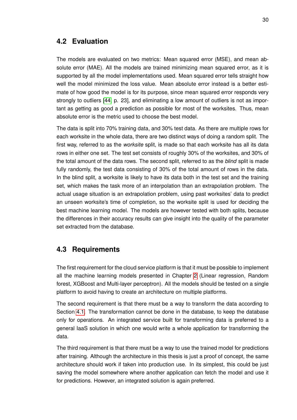### **4.2 Evaluation**

The models are evaluated on two metrics: Mean squared error (MSE), and mean absolute error (MAE). All the models are trained minimizing mean squared error, as it is supported by all the model implementations used. Mean squared error tells straight how well the model minimized the loss value. Mean absolute error instead is a better estimate of how good the model is for its purpose, since mean squared error responds very strongly to outliers [\[44,](#page-53-7) p. 23], and eliminating a low amount of outliers is not as important as getting as good a prediction as possible for most of the worksites. Thus, mean absolute error is the metric used to choose the best model.

The data is split into 70% training data, and 30% test data. As there are multiple rows for each worksite in the whole data, there are two distinct ways of doing a random split. The first way, referred to as the *worksite* split, is made so that each worksite has all its data rows in either one set. The test set consists of roughly 30% of the worksites, and 30% of the total amount of the data rows. The second split, referred to as the *blind* split is made fully randomly, the test data consisting of 30% of the total amount of rows in the data. In the blind split, a worksite is likely to have its data both in the test set and the training set, which makes the task more of an interpolation than an extrapolation problem. The actual usage situation is an extrapolation problem, using past worksites' data to predict an unseen worksite's time of completion, so the worksite split is used for deciding the best machine learning model. The models are however tested with both splits, because the differences in their accuracy results can give insight into the quality of the parameter set extracted from the database.

### <span id="page-36-0"></span>**4.3 Requirements**

The first requirement for the cloud service platform is that it must be possible to implement all the machine learning models presented in Chapter [2](#page-9-0) (Linear regression, Random forest, XGBoost and Multi-layer perceptron). All the models should be tested on a single platform to avoid having to create an architecture on multiple platforms.

The second requirement is that there must be a way to transform the data according to Section [4.1.](#page-35-1) The transformation cannot be done in the database, to keep the database only for operations. An integrated service built for transforming data is preferred to a general IaaS solution in which one would write a whole application for transforming the data.

<span id="page-36-1"></span>The third requirement is that there must be a way to use the trained model for predictions after training. Although the architecture in this thesis is just a proof of concept, the same architecture should work if taken into production use. In its simplest, this could be just saving the model somewhere where another application can fetch the model and use it for predictions. However, an integrated solution is again preferred.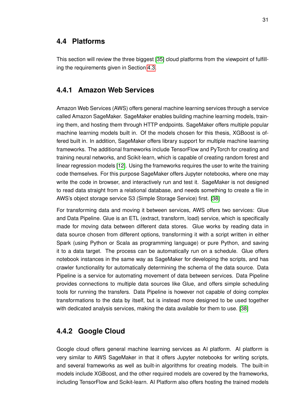#### **4.4 Platforms**

<span id="page-37-0"></span>This section will review the three biggest [\[35\]](#page-53-3) cloud platforms from the viewpoint of fulfilling the requirements given in Section [4.3.](#page-36-0)

#### **4.4.1 Amazon Web Services**

Amazon Web Services (AWS) offers general machine learning services through a service called Amazon SageMaker. SageMaker enables building machine learning models, training them, and hosting them through HTTP endpoints. SageMaker offers multiple popular machine learning models built in. Of the models chosen for this thesis, XGBoost is offered built in. In addition, SageMaker offers library support for multiple machine learning frameworks. The additional frameworks include TensorFlow and PyTorch for creating and training neural networks, and Scikit-learn, which is capable of creating random forest and linear regression models [\[12\]](#page-51-12). Using the frameworks requires the user to write the training code themselves. For this purpose SageMaker offers Jupyter notebooks, where one may write the code in browser, and interactively run and test it. SageMaker is not designed to read data straight from a relational database, and needs something to create a file in AWS's object storage service S3 (Simple Storage Service) first. [\[38\]](#page-53-12)

For transforming data and moving it between services, AWS offers two services: Glue and Data Pipeline. Glue is an ETL (extract, transform, load) service, which is specifically made for moving data between different data stores. Glue works by reading data in data source chosen from different options, transforming it with a script written in either Spark (using Python or Scala as programming language) or pure Python, and saving it to a data target. The process can be automatically run on a schedule. Glue offers notebook instances in the same way as SageMaker for developing the scripts, and has crawler functionality for automatically determining the schema of the data source. Data Pipeline is a service for automating movement of data between services. Data Pipeline provides connections to multiple data sources like Glue, and offers simple scheduling tools for running the transfers. Data Pipeline is however not capable of doing complex transformations to the data by itself, but is instead more designed to be used together with dedicated analysis services, making the data available for them to use. [\[38\]](#page-53-12)

## <span id="page-37-1"></span>**4.4.2 Google Cloud**

Google cloud offers general machine learning services as AI platform. AI platform is very similar to AWS SageMaker in that it offers Jupyter notebooks for writing scripts, and several frameworks as well as built-in algorithms for creating models. The built-in models include XGBoost, and the other required models are covered by the frameworks, including TensorFlow and Scikit-learn. AI Platform also offers hosting the trained models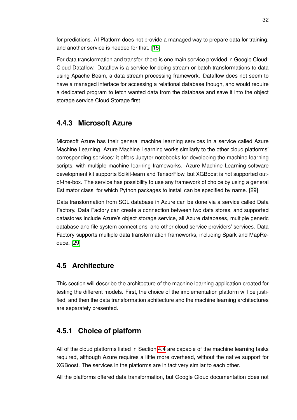for predictions. AI Platform does not provide a managed way to prepare data for training, and another service is needed for that. [\[15\]](#page-52-12)

For data transformation and transfer, there is one main service provided in Google Cloud: Cloud Dataflow. Dataflow is a service for doing stream or batch transformations to data using Apache Beam, a data stream processing framework. Dataflow does not seem to have a managed interface for accessing a relational database though, and would require a dedicated program to fetch wanted data from the database and save it into the object storage service Cloud Storage first.

### <span id="page-38-0"></span>**4.4.3 Microsoft Azure**

Microsoft Azure has their general machine learning services in a service called Azure Machine Learning. Azure Machine Learning works similarly to the other cloud platforms' corresponding services; it offers Jupyter notebooks for developing the machine learning scripts, with multiple machine learning frameworks. Azure Machine Learning software development kit supports Scikit-learn and TensorFlow, but XGBoost is not supported outof-the-box. The service has possibility to use any framework of choice by using a general Estimator class, for which Python packages to install can be specified by name. [\[29\]](#page-52-13)

Data transformation from SQL database in Azure can be done via a service called Data Factory. Data Factory can create a connection between two data stores, and supported datastores include Azure's object storage service, all Azure databases, multiple generic database and file system connections, and other cloud service providers' services. Data Factory supports multiple data transformation frameworks, including Spark and MapReduce. [\[29\]](#page-52-13)

### <span id="page-38-1"></span>**4.5 Architecture**

This section will describe the architecture of the machine learning application created for testing the different models. First, the choice of the implementation platform will be justified, and then the data transformation achitecture and the machine learning architectures are separately presented.

### <span id="page-38-2"></span>**4.5.1 Choice of platform**

All of the cloud platforms listed in Section [4.4](#page-36-1) are capable of the machine learning tasks required, although Azure requires a little more overhead, without the native support for XGBoost. The services in the platforms are in fact very similar to each other.

All the platforms offered data transformation, but Google Cloud documentation does not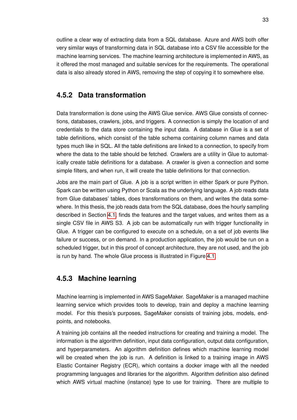outline a clear way of extracting data from a SQL database. Azure and AWS both offer very similar ways of transforming data in SQL database into a CSV file accessible for the machine learning services. The machine learning architecture is implemented in AWS, as it offered the most managed and suitable services for the requirements. The operational data is also already stored in AWS, removing the step of copying it to somewhere else.

#### <span id="page-39-0"></span>**4.5.2 Data transformation**

Data transformation is done using the AWS Glue service. AWS Glue consists of connections, databases, crawlers, jobs, and triggers. A connection is simply the location of and credentials to the data store containing the input data. A database in Glue is a set of table definitions, which consist of the table schema containing column names and data types much like in SQL. All the table definitions are linked to a connection, to specify from where the data to the table should be fetched. Crawlers are a utility in Glue to automatically create table definitions for a database. A crawler is given a connection and some simple filters, and when run, it will create the table definitions for that connection.

Jobs are the main part of Glue. A job is a script written in either Spark or pure Python. Spark can be written using Python or Scala as the underlying language. A job reads data from Glue databases' tables, does transformations on them, and writes the data somewhere. In this thesis, the job reads data from the SQL database, does the hourly sampling described in Section [4.1,](#page-35-1) finds the features and the target values, and writes them as a single CSV file in AWS S3. A job can be automatically run with trigger functionality in Glue. A trigger can be configured to execute on a schedule, on a set of job events like failure or success, or on demand. In a production application, the job would be run on a scheduled trigger, but in this proof of concept architecture, they are not used, and the job is run by hand. The whole Glue process is illustrated in Figure [4.1.](#page-40-0)

#### <span id="page-39-1"></span>**4.5.3 Machine learning**

Machine learning is implemented in AWS SageMaker. SageMaker is a managed machine learning service which provides tools to develop, train and deploy a machine learning model. For this thesis's purposes, SageMaker consists of training jobs, models, endpoints, and notebooks.

A training job contains all the needed instructions for creating and training a model. The information is the algorithm definition, input data configuration, output data configuration, and hyperparameters. An algorithm definition defines which machine learning model will be created when the job is run. A definition is linked to a training image in AWS Elastic Container Registry (ECR), which contains a docker image with all the needed programming languages and libraries for the algorithm. Algorithm definition also defined which AWS virtual machine (instance) type to use for training. There are multiple to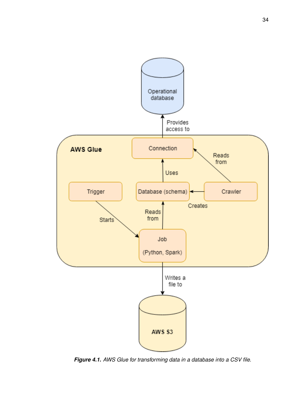<span id="page-40-0"></span>

*Figure 4.1. AWS Glue for transforming data in a database into a CSV file.*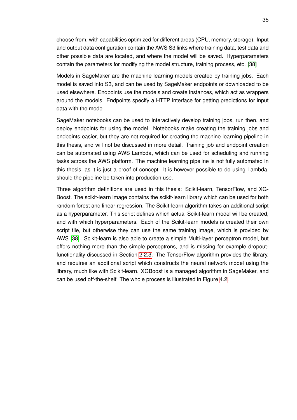choose from, with capabilities optimized for different areas (CPU, memory, storage). Input and output data configuration contain the AWS S3 links where training data, test data and other possible data are located, and where the model will be saved. Hyperparameters contain the parameters for modifying the model structure, training process, etc. [\[38\]](#page-53-12)

Models in SageMaker are the machine learning models created by training jobs. Each model is saved into S3, and can be used by SageMaker endpoints or downloaded to be used elsewhere. Endpoints use the models and create instances, which act as wrappers around the models. Endpoints specify a HTTP interface for getting predictions for input data with the model.

SageMaker notebooks can be used to interactively develop training jobs, run then, and deploy endpoints for using the model. Notebooks make creating the training jobs and endpoints easier, but they are not required for creating the machine learning pipeline in this thesis, and will not be discussed in more detail. Training job and endpoint creation can be automated using AWS Lambda, which can be used for scheduling and running tasks across the AWS platform. The machine learning pipeline is not fully automated in this thesis, as it is just a proof of concept. It is however possible to do using Lambda, should the pipeline be taken into production use.

Three algorithm definitions are used in this thesis: Scikit-learn, TensorFlow, and XG-Boost. The scikit-learn image contains the scikit-learn library which can be used for both random forest and linear regression. The Scikit-learn algorithm takes an additional script as a hyperparameter. This script defines which actual Scikit-learn model will be created, and with which hyperparameters. Each of the Scikit-learn models is created their own script file, but otherwise they can use the same training image, which is provided by AWS [\[38\]](#page-53-12). Scikit-learn is also able to create a simple Multi-layer perceptron model, but offers nothing more than the simple perceptrons, and is missing for example dropoutfunctionality discussed in Section [2.2.3.](#page-28-0) The TensorFlow algorithm provides the library, and requires an additional script which constructs the neural network model using the library, much like with Scikit-learn. XGBoost is a managed algorithm in SageMaker, and can be used off-the-shelf. The whole process is illustrated in Figure [4.2.](#page-42-0)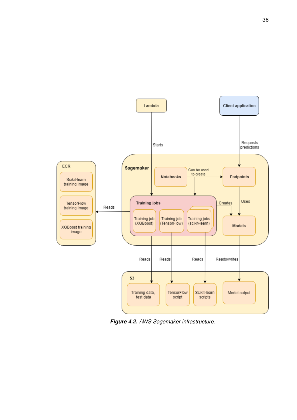<span id="page-42-0"></span>

*Figure 4.2. AWS Sagemaker infrastructure.*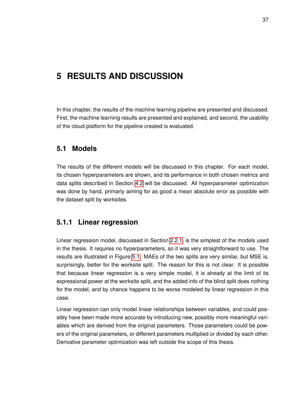# <span id="page-43-0"></span>**5 RESULTS AND DISCUSSION**

In this chapter, the results of the machine learning pipeline are presented and discussed. First, the machine learning results are presented and explained, and second, the usability of the cloud platform for the pipeline created is evaluated.

### <span id="page-43-1"></span>**5.1 Models**

The results of the different models will be discussed in this chapter. For each model, its chosen hyperparameters are shown, and its performance in both chosen metrics and data splits described in Section [4.2](#page-35-2) will be discussed. All hyperparameter optimization was done by hand, primarly aiming for as good a mean absolute error as possible with the dataset split by worksites.

#### <span id="page-43-2"></span>**5.1.1 Linear regression**

Linear regression model, discussed in Section [2.2.1,](#page-11-0) is the simplest of the models used in the thesis. It requires no hyperparameters, so it was very straightforward to use. The results are illustrated in Figure [5.1.](#page-44-0) MAEs of the two splits are very similar, but MSE is, surprisingly, better for the worksite split. The reason for this is not clear. It is possible that because linear regression is a very simple model, it is already at the limit of its expressional power at the worksite split, and the added info of the blind split does nothing for the model, and by chance happens to be worse modeled by linear regression in this case.

<span id="page-43-3"></span>Linear regression can only model linear relationships between variables, and could possibly have been made more accurate by introducing new, possibly more meaningful variables which are derived from the original parameters. Those parameters could be powers of the original parameters, or different parameters multiplied or divided by each other. Derivative parameter optimization was left outside the scope of this thesis.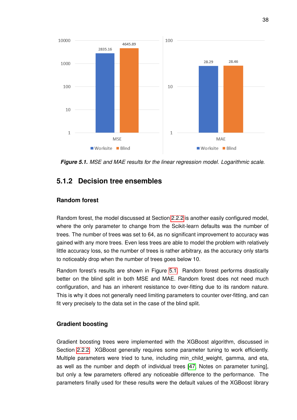<span id="page-44-0"></span>

*Figure 5.1. MSE and MAE results for the linear regression model. Logarithmic scale.*

#### **5.1.2 Decision tree ensembles**

#### **Random forest**

Random forest, the model discussed at Section [2.2.2](#page-18-0) is another easily configured model, where the only parameter to change from the Scikit-learn defaults was the number of trees. The number of trees was set to 64, as no significant improvement to accuracy was gained with any more trees. Even less trees are able to model the problem with relatively little accuracy loss, so the number of trees is rather arbitrary, as the accuracy only starts to noticeably drop when the number of trees goes below 10.

Random forest's results are shown in Figure [5.1.](#page-44-0) Random forest performs drastically better on the blind split in both MSE and MAE. Random forest does not need much configuration, and has an inherent resistance to over-fitting due to its random nature. This is why it does not generally need limiting parameters to counter over-fitting, and can fit very precisely to the data set in the case of the blind split.

#### **Gradient boosting**

Gradient boosting trees were implemented with the XGBoost algorithm, discussed in Section [2.2.2.](#page-19-0) XGBoost generally requires some parameter tuning to work efficiently. Multiple parameters were tried to tune, including min child weight, gamma, and eta, as well as the number and depth of individual trees [\[47,](#page-54-3) Notes on parameter tuning], but only a few parameters offered any noticeable difference to the performance. The parameters finally used for these results were the default values of the XGBoost library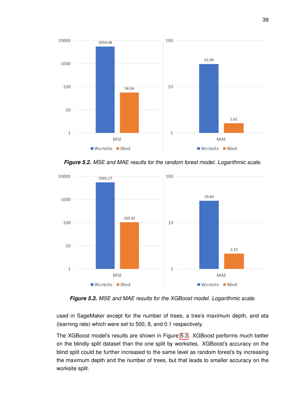

*Figure 5.2. MSE and MAE results for the random forest model. Logarithmic scale.*

<span id="page-45-1"></span>

*Figure 5.3. MSE and MAE results for the XGBoost model. Logarithmic scale.*

used in SageMaker except for the number of trees, a tree's maximum depth, and eta (learning rate) which were set to 500, 8, and 0.1 respectively.

<span id="page-45-0"></span>The XGBoost model's results are shown in Figure [5.3.](#page-45-1) XGBoost performs much better on the blindly split dataset than the one split by worksites. XGBoost's accuracy on the blind split could be further increased to the same level as random forest's by increasing the maximum depth and the number of trees, but that leads to smaller accuracy on the worksite split.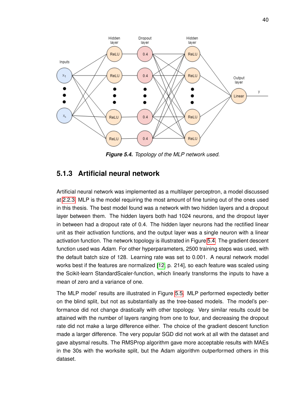<span id="page-46-1"></span>

*Figure 5.4. Topology of the MLP network used.*

### **5.1.3 Artificial neural network**

Artificial neural network was implemented as a multilayer perceptron, a model discussed at [2.2.3.](#page-24-0) MLP is the model requiring the most amount of fine tuning out of the ones used in this thesis. The best model found was a network with two hidden layers and a dropout layer between them. The hidden layers both had 1024 neurons, and the dropout layer in between had a dropout rate of 0.4. The hidden layer neurons had the rectified linear unit as their activation functions, and the output layer was a single neuron with a linear activation function. The network topology is illustrated in Figure [5.4.](#page-46-1) The gradient descent function used was *Adam*. For other hyperparameters, 2500 training steps was used, with the default batch size of 128. Learning rate was set to 0.001. A neural network model works best if the features are normalized [\[12,](#page-51-12) p. 214], so each feature was scaled using the Scikit-learn StandardScaler-function, which linearly transforms the inputs to have a mean of zero and a variance of one.

<span id="page-46-0"></span>The MLP model' results are illustrated in Figure [5.5.](#page-47-1) MLP performed expectedly better on the blind split, but not as substantially as the tree-based models. The model's performance did not change drastically with other topology. Very similar results could be attained with the number of layers ranging from one to four, and decreasing the dropout rate did not make a large difference either. The choice of the gradient descent function made a larger difference. The very popular SGD did not work at all with the dataset and gave abysmal results. The RMSProp algorithm gave more acceptable results with MAEs in the 30s with the worksite split, but the Adam algorithm outperformed others in this dataset.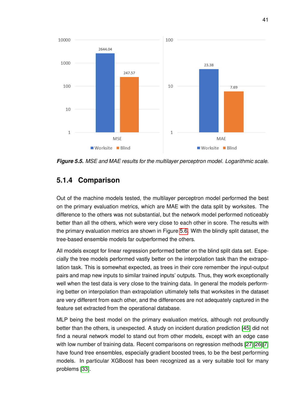<span id="page-47-1"></span>

*Figure 5.5. MSE and MAE results for the multilayer perceptron model. Logarithmic scale.*

### **5.1.4 Comparison**

Out of the machine models tested, the multilayer perceptron model performed the best on the primary evaluation metrics, which are MAE with the data split by worksites. The difference to the others was not substantial, but the network model performed noticeably better than all the others, which were very close to each other in score. The results with the primary evaluation metrics are shown in Figure [5.6.](#page-48-1) With the blindly split dataset, the tree-based ensemble models far outperformed the others.

All models except for linear regression performed better on the blind split data set. Especially the tree models performed vastly better on the interpolation task than the extrapolation task. This is somewhat expected, as trees in their core remember the input-output pairs and map new inputs to similar trained inputs' outputs. Thus, they work exceptionally well when the test data is very close to the training data. In general the models performing better on interpolation than extrapolation ultimately tells that worksites in the dataset are very different from each other, and the differences are not adequately captured in the feature set extracted from the operational database.

<span id="page-47-0"></span>MLP being the best model on the primary evaluation metrics, although not profoundly better than the others, is unexpected. A study on incident duration prediction [\[45\]](#page-54-0) did not find a neural network model to stand out from other models, except with an edge case with low number of training data. Recent comparisons on regression methods [\[27\]](#page-52-14)[\[26\]](#page-52-15)[\[7\]](#page-51-13) have found tree ensembles, especially gradient boosted trees, to be the best performing models. In particular XGBoost has been recognized as a very suitable tool for many problems [\[33\]](#page-53-8).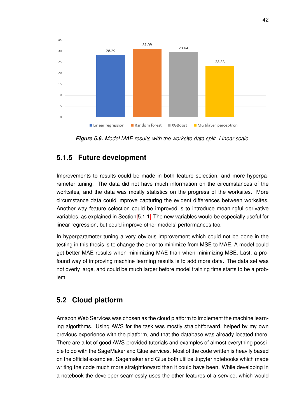<span id="page-48-1"></span>

*Figure 5.6. Model MAE results with the worksite data split. Linear scale.*

### **5.1.5 Future development**

Improvements to results could be made in both feature selection, and more hyperparameter tuning. The data did not have much information on the circumstances of the worksites, and the data was mostly statistics on the progress of the worksites. More circumstance data could improve capturing the evident differences between worksites. Another way feature selection could be improved is to introduce meaningful derivative variables, as explained in Section [5.1.1.](#page-43-2) The new variables would be especially useful for linear regression, but could improve other models' performances too.

In hyperparameter tuning a very obvious improvement which could not be done in the testing in this thesis is to change the error to minimize from MSE to MAE. A model could get better MAE results when minimizing MAE than when minimizing MSE. Last, a profound way of improving machine learning results is to add more data. The data set was not overly large, and could be much larger before model training time starts to be a problem.

## <span id="page-48-0"></span>**5.2 Cloud platform**

Amazon Web Services was chosen as the cloud platform to implement the machine learning algorithms. Using AWS for the task was mostly straightforward, helped by my own previous experience with the platform, and that the database was already located there. There are a lot of good AWS-provided tutorials and examples of almost everything possible to do with the SageMaker and Glue services. Most of the code written is heavily based on the official examples. Sagemaker and Glue both utilize Jupyter notebooks which made writing the code much more straightforward than it could have been. While developing in a notebook the developer seamlessly uses the other features of a service, which would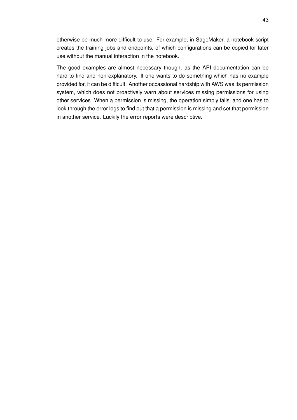otherwise be much more difficult to use. For example, in SageMaker, a notebook script creates the training jobs and endpoints, of which configurations can be copied for later use without the manual interaction in the notebook.

The good examples are almost necessary though, as the API documentation can be hard to find and non-explanatory. If one wants to do something which has no example provided for, it can be difficult. Another occassional hardship with AWS was its permission system, which does not proactively warn about services missing permissions for using other services. When a permission is missing, the operation simply fails, and one has to look through the error logs to find out that a permission is missing and set that permission in another service. Luckily the error reports were descriptive.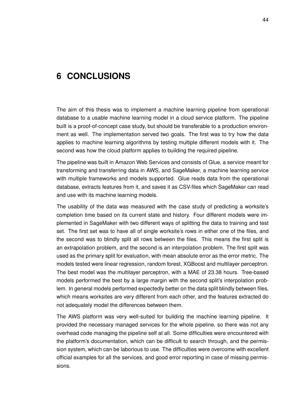# <span id="page-50-0"></span>**6 CONCLUSIONS**

The aim of this thesis was to implement a machine learning pipeline from operational database to a usable machine learning model in a cloud service platform. The pipeline built is a proof-of-concept case study, but should be transferable to a production environment as well. The implementation served two goals. The first was to try how the data applies to machine learning algorithms by testing multiple different models with it. The second was how the cloud platform applies to building the required pipeline.

The pipeline was built in Amazon Web Services and consists of Glue, a service meant for transforming and transferring data in AWS, and SageMaker, a machine learning service with multiple frameworks and models supported. Glue reads data from the operational database, extracts features from it, and saves it as CSV-files which SageMaker can read and use with its machine learning models.

The usability of the data was measured with the case study of predicting a worksite's completion time based on its current state and history. Four different models were implemented in SageMaker with two different ways of splitting the data to training and test set. The first set was to have all of single worksite's rows in either one of the files, and the second was to blindly split all rows between the files. This means the first split is an extrapolation problem, and the second is an interpolation problem. The first split was used as the primary split for evaluation, with mean absolute error as the error metric. The models tested were linear regression, random forest, XGBoost and multilayer perceptron. The best model was the multilayer perceptron, with a MAE of 23.38 hours. Tree-based models performed the best by a large margin with the second split's interpolation problem. In general models performed expectedly better on the data split blindly between files, which means worksites are very different from each other, and the features extracted do not adequately model the differences between them.

The AWS platform was very well-suited for building the machine learning pipeline. It provided the necessary managed services for the whole pipeline, so there was not any overhead code managing the pipeline self at all. Some difficulties were encountered with the platform's documentation, which can be difficult to search through, and the permission system, which can be laborious to use. The difficulties were overcome with excellent official examples for all the services, and good error reporting in case of missing permissions.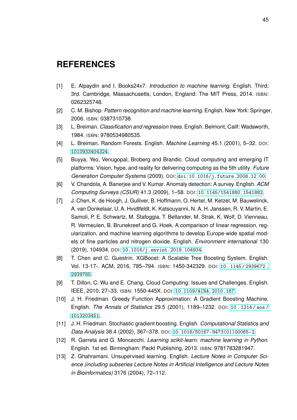# <span id="page-51-0"></span>**REFERENCES**

- <span id="page-51-9"></span>[1] E. Alpaydin and I. Books24x7. *Introduction to machine learning*. English. Third; 3rd. Cambridge, Massachusetts; London, England: The MIT Press, 2014. ISBN: 0262325748.
- <span id="page-51-1"></span>[2] C. M. Bishop. *Pattern recognition and machine learning*. English. New York: Springer, 2006. ISBN: 0387310738.
- <span id="page-51-5"></span>[3] L. Breiman. *Classification and regression trees*. English. Belmont, Calif: Wadsworth, 1984. ISBN: 9780534980535.
- <span id="page-51-4"></span>[4] L. Breiman. Random Forests. English. *Machine Learning* 45.1 (2001), 5–32. DOI: [1010933404324](https://doi.org/1010933404324).
- <span id="page-51-11"></span>[5] Buyya, Yeo, Venugopal, Broberg and Brandic. Cloud computing and emerging IT platforms: Vision, hype, and reality for delivering computing as the 5th utility. *Future Generation Computer Systems* (2009). DOI: [doi:10.1016/j.future.2008.12.00](https://doi.org/doi:10.1016/j.future.2008.12.00).
- <span id="page-51-3"></span>[6] V. Chandola, A. Banerjee and V. Kumar. Anomaly detection: A survey. English. *ACM Computing Surveys (CSUR)* 41.3 (2009), 1–58. DOI: [10.1145/1541880.1541882](https://doi.org/10.1145/1541880.1541882).
- <span id="page-51-13"></span>[7] J. Chen, K. de Hoogh, J. Gulliver, B. Hoffmann, O. Hertel, M. Ketzel, M. Bauwelinck, A. van Donkelaar, U. A. Hvidtfeldt, K. Katsouyanni, N. A. H. Janssen, R. V. Martin, E. Samoli, P. E. Schwartz, M. Stafoggia, T. Bellander, M. Strak, K. Wolf, D. Vienneau, R. Vermeulen, B. Brunekreef and G. Hoek. A comparison of linear regression, regularization, and machine learning algorithms to develop Europe-wide spatial models of fine particles and nitrogen dioxide. English. *Environment international* 130 (2019), 104934. DOI: [10.1016/j.envint.2019.104934](https://doi.org/10.1016/j.envint.2019.104934).
- <span id="page-51-8"></span>[8] T. Chen and C. Guestrin. XGBoost: A Scalable Tree Boosting System. English. Vol. 13-17-. ACM, 2016, 785–794. ISBN: 1450-342329. DOI: [10 . 1145 / 2939672 .](https://doi.org/10.1145/2939672.2939785) [2939785](https://doi.org/10.1145/2939672.2939785).
- <span id="page-51-10"></span>[9] T. Dillon, C. Wu and E. Chang. Cloud Computing: Issues and Challenges. English. IEEE, 2010, 27–33. ISBN: 1550-445X. DOI: [10.1109/AINA.2010.187](https://doi.org/10.1109/AINA.2010.187).
- <span id="page-51-7"></span>[10] J. H. Friedman. Greedy Function Approximation: A Gradient Boosting Machine. English. *The Annals of Statistics* 29.5 (2001), 1189–1232. DOI: [10 . 1214 / aos /](https://doi.org/10.1214/aos/1013203451) [1013203451](https://doi.org/10.1214/aos/1013203451).
- <span id="page-51-6"></span>[11] J. H. Friedman. Stochastic gradient boosting. English. *Computational Statistics and Data Analysis* 38.4 (2002), 367–378. DOI: [10.1016/S0167-9473\(01\)00065-2](https://doi.org/10.1016/S0167-9473(01)00065-2).
- <span id="page-51-12"></span>[12] R. Garreta and G. Moncecchi. *Learning scikit-learn: machine learning in Python*. English. 1st ed. Birmingham: Packt Publishing, 2013. ISBN: 9781783281947.
- <span id="page-51-2"></span>[13] Z. Ghahramani. Unsupervised learning. English. *Lecture Notes in Computer Science (including subseries Lecture Notes in Artificial Intelligence and Lecture Notes in Bioinformatics)* 3176 (2004), 72–112.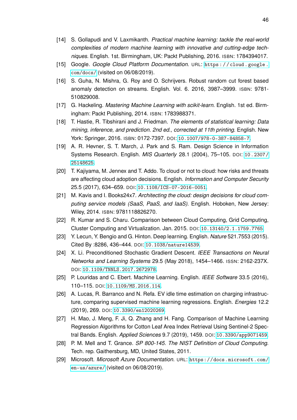- <span id="page-52-3"></span>[14] S. Gollapudi and V. Laxmikanth. *Practical machine learning: tackle the real-world complexities of modern machine learning with innovative and cutting-edge techniques*. English. 1st. Birmingham, UK: Packt Publishing, 2016. ISBN: 1784394017.
- <span id="page-52-12"></span>[15] Google. *Google Cloud Platform Documentation*. URL: [https : / / cloud . google .](https://cloud.google.com/docs/) [com/docs/](https://cloud.google.com/docs/) (visited on 06/08/2019).
- <span id="page-52-5"></span>[16] S. Guha, N. Mishra, G. Roy and O. Schrijvers. Robust random cut forest based anomaly detection on streams. English. Vol. 6. 2016, 3987–3999. ISBN: 9781- 510829008.
- <span id="page-52-4"></span>[17] G. Hackeling. *Mastering Machine Learning with scikit-learn*. English. 1st ed. Birmingham: Packt Publishing, 2014. ISBN: 1783988371.
- <span id="page-52-6"></span>[18] T. Hastie, R. Tibshirani and J. Friedman. *The elements of statistical learning: Data mining, inference, and prediction. 2nd ed., corrected at 11th printing*. English. New York: Springer, 2016. ISBN: 0172-7397. DOI: [10.1007/978-0-387-84858-7](https://doi.org/10.1007/978-0-387-84858-7).
- <span id="page-52-1"></span>[19] A. R. Hevner, S. T. March, J. Park and S. Ram. Design Science in Information Systems Research. English. *MIS Quarterly* 28.1 (2004), 75–105. DOI: [10.2307/](https://doi.org/10.2307/25148625) [25148625](https://doi.org/10.2307/25148625).
- <span id="page-52-0"></span>[20] T. Kajiyama, M. Jennex and T. Addo. To cloud or not to cloud: how risks and threats are affecting cloud adoption decisions. English. *Information and Computer Security* 25.5 (2017), 634–659. DOI: [10.1108/ICS-07-2016-0051](https://doi.org/10.1108/ICS-07-2016-0051).
- <span id="page-52-11"></span>[21] M. Kavis and I. Books24x7. *Architecting the cloud: design decisions for cloud computing service models (SaaS, PaaS, and IaaS)*. English. Hoboken, New Jersey: Wiley, 2014. ISBN: 9781118826270.
- <span id="page-52-10"></span>[22] R. Kumar and S. Charu. Comparison between Cloud Computing, Grid Computing, Cluster Computing and Virtualization. Jan. 2015. DOI: [10.13140/2.1.1759.7765](https://doi.org/10.13140/2.1.1759.7765).
- <span id="page-52-7"></span>[23] Y. Lecun, Y. Bengio and G. Hinton. Deep learning. English. *Nature* 521.7553 (2015). Cited By :8286, 436–444. DOI: [10.1038/nature14539](https://doi.org/10.1038/nature14539).
- <span id="page-52-8"></span>[24] X. Li. Preconditioned Stochastic Gradient Descent. *IEEE Transactions on Neural Networks and Learning Systems* 29.5 (May 2018), 1454–1466. ISSN: 2162-237X. DOI: [10.1109/TNNLS.2017.2672978](https://doi.org/10.1109/TNNLS.2017.2672978).
- <span id="page-52-2"></span>[25] P. Louridas and C. Ebert. Machine Learning. English. *IEEE Software* 33.5 (2016), 110–115. DOI: [10.1109/MS.2016.114](https://doi.org/10.1109/MS.2016.114).
- <span id="page-52-15"></span>[26] A. Lucas, R. Barranco and N. Refa. EV idle time estimation on charging infrastructure, comparing supervised machine learning regressions. English. *Energies* 12.2 (2019), 269. DOI: [10.3390/en12020269](https://doi.org/10.3390/en12020269).
- <span id="page-52-14"></span>[27] H. Mao, J. Meng, F. Ji, Q. Zhang and H. Fang. Comparison of Machine Learning Regression Algorithms for Cotton Leaf Area Index Retrieval Using Sentinel-2 Spectral Bands. English. *Applied Sciences* 9.7 (2019), 1459. DOI: [10.3390/app9071459](https://doi.org/10.3390/app9071459).
- <span id="page-52-9"></span>[28] P. M. Mell and T. Grance. *SP 800-145. The NIST Definition of Cloud Computing*. Tech. rep. Gaithersburg, MD, United States, 2011.
- <span id="page-52-13"></span>[29] Microsoft. *Microsoft Azure Documentation*. URL: [https://docs.microsoft.com/](https://docs.microsoft.com/en-us/azure/) [en-us/azure/](https://docs.microsoft.com/en-us/azure/) (visited on 06/08/2019).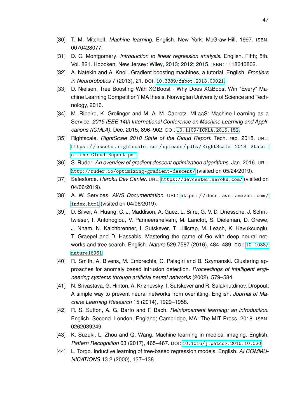- <span id="page-53-4"></span>[30] T. M. Mitchell. *Machine learning*. English. New York: McGraw-Hill, 1997. ISBN: 0070428077.
- <span id="page-53-6"></span>[31] D. C. Montgomery. *Introduction to linear regression analysis*. English. Fifth; 5th. Vol. 821. Hoboken, New Jersey: Wiley, 2013; 2012; 2015. ISBN: 1118640802.
- <span id="page-53-9"></span>[32] A. Natekin and A. Knoll. Gradient boosting machines, a tutorial. English. *Frontiers in Neurorobotics* 7 (2013), 21. DOI: [10.3389/fnbot.2013.00021](https://doi.org/10.3389/fnbot.2013.00021).
- <span id="page-53-8"></span>[33] D. Nielsen. Tree Boosting With XGBoost - Why Does XGBoost Win "Every" Machine Learning Competition? MA thesis. Norwegian University of Science and Technology, 2016.
- <span id="page-53-14"></span>[34] M. Ribeiro, K. Grolinger and M. A. M. Capretz. MLaaS: Machine Learning as a Service. *2015 IEEE 14th International Conference on Machine Learning and Applications (ICMLA)*. Dec. 2015, 896–902. DOI: [10.1109/ICMLA.2015.152](https://doi.org/10.1109/ICMLA.2015.152).
- <span id="page-53-3"></span>[35] Rightscale. *RightScale 2018 State of the Cloud Report*. Tech. rep. 2018. URL: [https : / / assets . rightscale . com / uploads / pdfs / RightScale - 2018 - State](https://assets.rightscale.com/uploads/pdfs/RightScale-2018-State-of-the-Cloud-Report.pdf)  [of-the-Cloud-Report.pdf](https://assets.rightscale.com/uploads/pdfs/RightScale-2018-State-of-the-Cloud-Report.pdf).
- <span id="page-53-10"></span>[36] S. Ruder. *An overview of gradient descent optimization algorithms*. Jan. 2016. URL: <http://ruder.io/optimizing-gradient-descent/> (visited on 05/24/2019).
- <span id="page-53-13"></span>[37] Salesforce. *Heroku Dev Center*. URL: <https://devcenter.heroku.com/> (visited on 04/06/2019).
- <span id="page-53-12"></span>[38] A. W. Services. *AWS Documentation*. URL: [https : / / docs . aws . amazon . com /](https://docs.aws.amazon.com/index.html) [index.html](https://docs.aws.amazon.com/index.html) (visited on 04/06/2019).
- <span id="page-53-2"></span>[39] D. Silver, A. Huang, C. J. Maddison, A. Guez, L. Sifre, G. V. D. Driessche, J. Schrittwieser, I. Antonoglou, V. Panneershelvam, M. Lanctot, S. Dieleman, D. Grewe, J. Nham, N. Kalchbrenner, I. Sutskever, T. Lillicrap, M. Leach, K. Kavukcuoglu, T. Graepel and D. Hassabis. Mastering the game of Go with deep neural networks and tree search. English. *Nature* 529.7587 (2016), 484–489. DOI: [10.1038/](https://doi.org/10.1038/nature16961) [nature16961](https://doi.org/10.1038/nature16961).
- <span id="page-53-1"></span>[40] R. Smith, A. Bivens, M. Embrechts, C. Palagiri and B. Szymanski. Clustering approaches for anomaly based intrusion detection. *Proceedings of intelligent engineering systems through artificial neural networks* (2002), 579–584.
- <span id="page-53-11"></span>[41] N. Srivastava, G. Hinton, A. Krizhevsky, I. Sutskever and R. Salakhutdinov. Dropout: A simple way to prevent neural networks from overfitting. English. *Journal of Machine Learning Research* 15 (2014), 1929–1958.
- <span id="page-53-5"></span>[42] R. S. Sutton, A. G. Barto and F. Bach. *Reinforcement learning: an introduction*. English. Second. London, England; Cambridge, MA: The MIT Press, 2018. ISBN: 0262039249.
- <span id="page-53-0"></span>[43] K. Suzuki, L. Zhou and Q. Wang. Machine learning in medical imaging. English. *Pattern Recognition* 63 (2017), 465–467. DOI: [10.1016/j.patcog.2016.10.020](https://doi.org/10.1016/j.patcog.2016.10.020).
- <span id="page-53-7"></span>[44] L. Torgo. Inductive learning of tree-based regression models. English. *AI COMMU-NICATIONS* 13.2 (2000), 137–138.